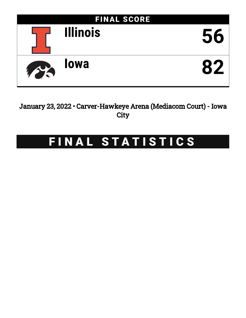

January 23, 2022 • Carver-Hawkeye Arena (Mediacom Court) - Iowa **City** 

# FINAL STATISTICS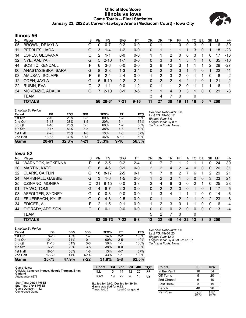#### **Official Box Score Illinois vs Iowa Game Totals -- Final Statistics January 23, 2022 at Carver-Hawkeye Arena (Mediacom Court) - Iowa City**



## **Illinois 56**

| No. | Plaver                 | S  | Pts | FG       | 3FG     | FT       | 0R | DR | TR            | PF | A | TO | <b>B</b> lk  | Stl          | Min | $+/-$ |
|-----|------------------------|----|-----|----------|---------|----------|----|----|---------------|----|---|----|--------------|--------------|-----|-------|
| 05  | <b>BROWN, DE'MYLA</b>  | G  | 0   | $0 - 7$  | $0 - 2$ | $0-0$    | 0  |    |               | 0  | 0 | 3  | 0            |              | 16  | $-30$ |
| 11  | PEEBLES, JADA          | G  | 3   | $1 - 4$  | $1 - 2$ | $0 - 0$  | 0  |    |               |    |   | 3  | 0            |              | 18  | $-28$ |
| 14  | LOPES, GEOVANA         | С  | 2   | $1 - 1$  | $0 - 0$ | $0 - 0$  |    | 1  | 2             | 0  | 0 | 3  |              | 0            | 17  | $-16$ |
| 32  | NYE, AALIYAH           | G  | 5   | $2 - 10$ | $1 - 7$ | $0 - 0$  | 0  | 3  | 3             |    | 3 |    |              | $\Omega$     | 35  | $-16$ |
| 44  | <b>BOSTIC, KENDALL</b> | F  | 6   | $3-6$    | $0 - 0$ | $0 - 0$  | 3  | 9  | 12            | 3  |   |    | 1.           | 2            | 29  | -27   |
| 00  | ANASTASIESKA, SARA     | G  | 8   | $2 - 8$  | $1 - 3$ | $3 - 4$  | 0  | 2  | $\mathcal{P}$ | 3  |   | 1  | $\mathbf{0}$ |              | 22  | $-11$ |
| 03  | AMUSAN, SOLAPE         | F  | 6   | $2 - 4$  | $2 - 4$ | $0 - 0$  |    | 2  | 3             | 2  | 0 |    |              | 0            | 8   | $-2$  |
| 12  | ODEN, JAYLA            | G  | 16  | $6 - 10$ | $2 - 2$ | $2 - 4$  | 0  | 2  | $\mathcal{P}$ | 4  | 2 |    | $\Omega$     | 1            | 21  | 2     |
| 22  | RUBIN, EVA             | C. | 3   | $1 - 1$  | $0 - 0$ | $1 - 2$  | 0  | 1  |               | 2  | 0 |    |              |              | 6   | 1     |
| 24  | MCKENZIE, ADALIA       | G  | 7   | $2 - 10$ | $0 - 1$ | $3-6$    | 3  |    | 4             | 3  | 3 |    | $\mathbf{0}$ | $\mathbf{0}$ | 29  | $-3$  |
|     | <b>TEAM</b>            |    |     |          |         |          | 3  | 4  | 7             | 0  |   | 0  |              |              |     |       |
|     | <b>TOTALS</b>          |    | 56. | 20-61    | 7-21    | $9 - 16$ | 11 | 27 | 38            | 19 |   | 16 | 5            |              | 200 |       |

| <b>Shooting By Period</b> |           |            |          |                     |          |       | Deadball Rebounds: 5,0        |
|---------------------------|-----------|------------|----------|---------------------|----------|-------|-------------------------------|
| Period                    | FG        | FG%        | 3FG      | 3FG%                | FT       | FT%   | Last FG: 4th-00:17            |
| 1st Otr                   | $2 - 10$  | <b>20%</b> | $0 - 3$  | 00%                 | $1-2$    | 50%   | Biggest Run: 8-0              |
| 2nd Qtr                   | $5 - 18$  | 28%        | $1-5$    | 20%                 | $3 - 4$  | 75%   | Largest lead: By 0 at -       |
| 3rd Qtr                   | 4-16      | 25%        | $3-5$    | 60%                 | $1 - 2$  | 50%   | <i>Technical Fouls:</i> None. |
| 4th Qtr                   | $9 - 17$  | 53%        | $3 - 8$  | 38%                 | $4 - 8$  | 50%   |                               |
| 1st Half                  | 7-28      | 25%        | $1 - 8$  | 13%                 | $4-6$    | 67%   |                               |
| 2nd Half                  | 13-33     | 39%        | $6 - 13$ | 46%                 | $5 - 10$ | 50%   |                               |
| Game                      | $20 - 61$ | 32.8%      | 7-21     | $33.\overline{3\%}$ | $9 - 16$ | 56.3% |                               |

## **Iowa 82**

| No. | Plaver              | S  | Pts | FG       | 3FG      | FТ      | OR             | DR | TR             | РF             | A  | TO           | <b>B</b> lk | Stl           | Min        | $+/-$ |
|-----|---------------------|----|-----|----------|----------|---------|----------------|----|----------------|----------------|----|--------------|-------------|---------------|------------|-------|
| 14  | WARNOCK, MCKENNA    | F. | 6   | $2 - 5$  | $0 - 2$  | 2-4     | 0              |    |                |                | 2  |              |             | 0             | 24         | 30    |
| 20  | <b>MARTIN, KATE</b> | G  | 8   | $4-6$    | $0 - 1$  | $0 - 0$ | $\overline{2}$ | 2  | 4              | $\overline{2}$ | 4  | $\Omega$     | $\Omega$    | 0             | 26         | 31    |
| 22  | CLARK, CAITLIN      | G  | 18  | $8 - 17$ | $2 - 5$  | $0 - 1$ |                |    | 8              | 2              |    | 6            |             | 2             | 29         | 21    |
| 24  | MARSHALL, GABBIE    | G  | 3   | $1 - 6$  | $1-5$    | $0 - 0$ |                | 2  | 3              |                | 5  | $\mathbf{0}$ | 0           | 3             | 23         | 21    |
| 25  | CZINANO, MONIKA     |    | 21  | $9 - 15$ | $0 - 0$  | $3-3$   | 2              | 4  | 6              | 3              | 0  | 2            |             | 0             | 25         | 28    |
| 01  | TAIWO, TOMI         | G  | 14  | $6 - 7$  | $2 - 3$  | $0 - 0$ | $\Omega$       | 2  | $\overline{2}$ | 0              | 0  | 1            | 0           |               | 17         | 5     |
| 03  | AFFOLTER, SYDNEY    | G  | 0   | $0 - 3$  | $0 - 0$  | $0 - 0$ | 1              | 3  | 4              |                |    | 1            | 0           | 0             | 14         | -6    |
| 04  | FEUERBACH, KYLIE    | G  | 10  | $4 - 8$  | $2 - 5$  | $0 - 0$ | 0              |    | 1              | 2              | 2  | 1            | 0           | $\mathcal{P}$ | 23         | 8     |
| 34  | EDIGER, AJ          | F  | 2   | $1 - 5$  | $0 - 1$  | $0 - 0$ |                | 2  | 3              | 0              |    |              | 0           | $\Omega$      | 6          | $-4$  |
| 44  | O'GRADY, ADDISON    | C  | 0   | $0 - 1$  | $0 - 0$  | $0 - 0$ | 0              | 0  | 0              | $\overline{2}$ | 0  | $\Omega$     | 0           | 0             | 13         | $-4$  |
|     | TEAM                |    |     |          |          |         | 5              | 2  |                | $\Omega$       |    | $\mathbf{0}$ |             |               |            |       |
|     | <b>TOTALS</b>       |    |     | 82 35-73 | $7 - 22$ | $5 - 8$ | 13             | 32 | 45             | 14             | 22 | 13           | 3           | 8             | <b>200</b> |       |

| <b>Shooting By Period</b> |           |       |          |       |         |       |
|---------------------------|-----------|-------|----------|-------|---------|-------|
| Period                    | FG        | FG%   | 3FG      | 3FG%  | FT      | FT%   |
| 1st Qtr                   | $8-20$    | 40%   | $1 - 7$  | 14%   | $2-2$   | 100%  |
| 2nd Qtr                   | $10 - 14$ | 71%   | $0 - 1$  | 00%   | $2 - 5$ | 40%   |
| 3rd Qtr                   | $11 - 18$ | 61%   | $3-6$    | 50%   | $1 - 1$ | 100%  |
| 4th Qtr                   | $6 - 21$  | 29%   | $3 - 8$  | 38%   | $0 - 0$ | $0\%$ |
| 1st Half                  | 18-34     | 53%   | $1 - 8$  | 13%   | $4 - 7$ | 57%   |
| 2nd Half                  | 17-39     | 44%   | $6 - 14$ | 43%   | $1 - 1$ | 100%  |
| Game                      | $35 - 73$ | 47.9% | 7-22     | 31.8% | $5 - 8$ | 62.5% |

*Deadball Rebounds:* 1,0 *Last FG:* 4th-01:23 *Biggest Run:* 12-0 *Largest lead:* By 39 at 3rd-01:07 *Technical Fouls:* None.

| Game Notes:                                      | <b>Score</b>                             | 1st | 2nd | 3rd             | 4th | тот | <b>Points</b>     | ill | <b>IOW</b> |
|--------------------------------------------------|------------------------------------------|-----|-----|-----------------|-----|-----|-------------------|-----|------------|
| Officials: Cameron Inouye, Maggie Tierman, Brian | ILL                                      |     | 14  | 12              | 25  | 56  | In the Paint      | 16  | 54         |
| Garland<br>Attendance: 8977                      | <b>IOW</b>                               | 19  | 22  | 26              | 15  | 82  | Off Turns         |     | 20         |
|                                                  |                                          |     |     |                 |     |     | 2nd Chance        |     | 10         |
| Start Time: 06:01 PM ET<br>End Time: 07:43 PM ET | ILL led for 0:00. IOW led for 39:28.     |     |     |                 |     |     | <b>Fast Break</b> |     | 19         |
| Game Duration: 1:42                              | Game was tied for 0:32.<br>Times tied: 0 |     |     | Lead Changes: 0 |     |     | Bench             | 40  | 26         |

Conference Game;

**Times tied: 0** Lead Changes: 0

| In the Paint | 16             | 54             |
|--------------|----------------|----------------|
| Off Turns    | 5              | 20             |
| 2nd Chance   | 6              | 10             |
| Fast Break   | 3              | 19             |
| Bench        | 40             | 26             |
| Per Poss     | 0.767<br>25/73 | 1.051<br>38/78 |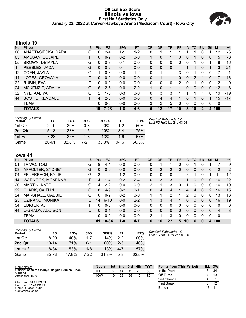#### **Official Box Score Illinois vs Iowa First Half Statistics Only January 23, 2022 at Carver-Hawkeye Arena (Mediacom Court) - Iowa City**



## **Illinois 19**

| No. | Plaver                 | S  | <b>Pts</b>   | FG       | 3FG     | <b>FT</b> | <b>OR</b> | <b>DR</b> | TR | PF | A | TO            | <b>Blk</b> | Stl      | <b>Min</b> | $+/-$ |
|-----|------------------------|----|--------------|----------|---------|-----------|-----------|-----------|----|----|---|---------------|------------|----------|------------|-------|
| 00  | ANASTASIESKA, SARA     | G  | 6            | $2 - 4$  | $1 - 1$ | $1 - 2$   | 0         |           |    |    |   |               | 0          |          | 12         | -6    |
| 03  | AMUSAN, SOLAPE         | F  | $\Omega$     | $0 - 2$  | $0 - 2$ | $0-0$     |           | $\Omega$  |    | 0  | 0 |               | 0          | 0        | 5          | -8    |
| 05  | <b>BROWN, DE'MYLA</b>  | G  | 0            | $0 - 3$  | $0 - 1$ | $0 - 0$   | 0         | 0         | 0  | 0  | 0 |               | 0          |          | 8          | $-16$ |
| 11  | PEEBLES, JADA          | G  | $\mathbf{0}$ | $0 - 2$  | $0 - 1$ | $0 - 0$   | 0         | 0         | 0  |    |   |               | 0          |          | 13         | $-21$ |
| 12  | ODEN, JAYLA            | G  |              | $0 - 3$  | $0 - 0$ | $1 - 2$   | 0         | 1         |    | 3  | 0 |               | 0          | 0        | 7          | -1    |
| 14  | LOPES, GEOVANA         | С  | $\Omega$     | $0 - 0$  | $0 - 0$ | $0 - 0$   | 0         | 1         |    | 0  | 0 | $\mathcal{P}$ |            | 0        |            | $-16$ |
| 22  | RUBIN, EVA             | C  | 0            | $0 - 0$  | $0 - 0$ | $0 - 0$   | 0         | $\Omega$  | 0  | 2  | 0 |               | 0          | 0        | 2          | 0     |
| 24  | MCKENZIE, ADALIA       | G  | 6            | $2 - 5$  | $0 - 0$ | $2 - 2$   |           | $\Omega$  | 1  | 1  | 0 | $\Omega$      | $\Omega$   | 0        | 12         | -6    |
| 32  | NYE, AALIYAH           | G  | 2            | $1 - 6$  | $0 - 3$ | $0 - 0$   | 0         | 3         | 3  |    |   |               |            | 0        | 19         | $-19$ |
| 44  | <b>BOSTIC, KENDALL</b> | F. | 4            | $2 - 3$  | $0 - 0$ | $0 - 0$   | 0         | 4         | 4  |    | 0 |               | 0          | 1        | 15         | $-17$ |
|     | <b>TEAM</b>            |    | 0            | $0 - 0$  | $0 - 0$ | $0 - 0$   | 3         | 2         | 5  | 0  | 0 | 0             | $\Omega$   | $\Omega$ | 0          |       |
|     | <b>TOTALS</b>          |    | 19           | $7 - 28$ | $1 - 8$ | $4 - 6$   | 5         | 12        | 17 | 10 | 3 | 10            | 2          | 4        | 100        |       |

| <b>Shooting By Period</b><br>Period | FG       | FG%        | 3FG   | 3FG%       | FT       | FT%   |
|-------------------------------------|----------|------------|-------|------------|----------|-------|
| 1st Qtr                             | $2 - 10$ | <b>20%</b> | 0-3   | 00%        | $1-2$    | 50%   |
| 2nd Qtr                             | $5 - 18$ | <b>28%</b> | $1-5$ | <b>20%</b> | $3 - 4$  | 75%   |
| 1st Half                            | $7-28$   | 25%        | 1-8   | 13%        | $4-6$    | 67%   |
| Game                                | 20-61    | 32.8%      | 7-21  | 33.3%      | $9 - 16$ | 56.3% |

*Deadball Rebounds:* 5,0 *Last FG Half:* ILL 2nd-03:06

## **Iowa 41**

| No. | Plaver                  | S  | <b>Pts</b> | FG       | 3FG     | <b>FT</b> | <b>OR</b> | DR | TR       | PF | A  | TO       | <b>B</b> lk | Stl      | Min            | $+/-$    |
|-----|-------------------------|----|------------|----------|---------|-----------|-----------|----|----------|----|----|----------|-------------|----------|----------------|----------|
| 01  | TAIWO, TOMI             | G  | 8          | 4-4      | $0 - 0$ | $0 - 0$   | 0         |    |          | 0  | 0  |          | 0           |          |                | 9        |
| 03  | AFFOLTER, SYDNEY        | G  | 0          | $0 - 0$  | $0 - 0$ | $0 - 0$   | 0         | 2  | 2        | 0  | 0  | 0        | 0           | 0        | 2              | $-2$     |
| 04  | FEUERBACH, KYLIE        | G  | 3          | $1 - 2$  | $1 - 2$ | $0 - 0$   | 0         | 0  | 0        |    | 2  |          | 0           |          | 11             | 12       |
| 14  | <b>WARNOCK, MCKENNA</b> | F. | 4          | 1-4      | $0 - 2$ | $2 - 4$   | 0         | 3  | 3        |    |    | 0        | 0           | 0        | 16             | 22       |
| 20  | <b>MARTIN, KATE</b>     | G  | 4          | $2 - 2$  | $0 - 0$ | $0 - 0$   | 2         |    | 3        | 0  |    | 0        | 0           | 0        | 16             | 19       |
| 22  | CLARK, CAITLIN          | G  | 8          | $4-9$    | $0 - 2$ | $0 - 1$   | 0         | 4  | 4        |    | 4  | 4        | 0           | 2        | 16             | 15       |
| 24  | MARSHALL, GABBIE        | G  | 0          | $0 - 2$  | $0 - 2$ | $0 - 0$   | 1         |    | 2        |    | 2  | 0        | 0           | 0        | 13             | 13       |
| 25  | CZINANO, MONIKA         |    | 14         | $6 - 10$ | $0 - 0$ | $2 - 2$   |           | 3  | 4        |    | 0  | $\Omega$ | 0           | 0        | 16             | 19       |
| 34  | EDIGER, AJ              | F  | 0          | $0 - 0$  | $0 - 0$ | $0 - 0$   | 0         | 0  | 0        | 0  | 0  | 0        | 0           | 0        | $\Omega$       | $\Omega$ |
| 44  | O'GRADY, ADDISON        | C. | $\Omega$   | $0 - 1$  | $0 - 0$ | $0 - 0$   | 0         | 0  | $\Omega$ | 0  | 0  | $\Omega$ | 0           | $\Omega$ | $\overline{4}$ | 3        |
|     | <b>TEAM</b>             |    | 0          | $0 - 0$  | $0 - 0$ | $0 - 0$   | 2         |    | 3        | 0  | 0  | 0        | 0           | 0        | $\mathbf 0$    |          |
|     | <b>TOTALS</b>           |    | 41         | 18-34    | $1 - 8$ | $4 - 7$   | 6         | 16 | 22       | 5  | 10 | 6        | 0           | 4        | 100            |          |

| <b>Shooting By Period</b><br>Period | FG        | FG%   | 3FG     | 3FG%   | FТ    | FT%   |
|-------------------------------------|-----------|-------|---------|--------|-------|-------|
| 1st Otr                             | $8 - 20$  | 40%   | $1 - 7$ | 14%    | $2-2$ | 100%  |
| 2nd Otr                             | $10 - 14$ | 71%   | በ-1     | $00\%$ | $2-5$ | 40%   |
| 1st Half                            | 18-34     | 53%   | 1-8     | 13%    | 4-7   | 57%   |
| Game                                | $35 - 73$ | 47.9% | 7-22    | 31.8%  | 5-8   | 62.5% |

*Deadball Rebounds:* 1,0 *Last FG Half:* IOW 2nd-00:00

| Game Notes:                                                 | <b>Score</b> | 1st i | 2nd | 3rd | 4th | <b>TOT</b> | <b>Points from (This Period)</b> |    | <b>ILL IOW</b> |
|-------------------------------------------------------------|--------------|-------|-----|-----|-----|------------|----------------------------------|----|----------------|
| Officials: Cameron Inouye, Maggie Tierman, Brian<br>Garland | ILL          |       | 14  | 12  | 25  | 56         | In the Paint                     |    | 34             |
| Attendance: 8977                                            | <b>IOW</b>   | 19    | 22  | 26  | 15  | 82         | Off Turns                        |    | 13             |
|                                                             |              |       |     |     |     |            | 2nd Chance                       |    |                |
| Start Time: 06:01 PM ET<br>End Time: 07:43 PM ET            |              |       |     |     |     |            | Fast Break                       |    |                |
| Game Duration: 1:42<br>Conference Game;                     |              |       |     |     |     |            | Bench                            | 13 | 11             |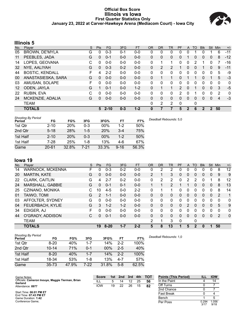#### **Official Box Score Illinois vs Iowa First Quarter Statistics Only January 23, 2022 at Carver-Hawkeye Arena (Mediacom Court) - Iowa City**



## **Illinois 5**

| No. | Player                 | S | <b>Pts</b> | <b>FG</b> | 3FG     | <b>FT</b> | 0R           | DR | TR | PF            | A        | TO       | <b>Blk</b> | <b>Stl</b>   | Min | $+/-$ |
|-----|------------------------|---|------------|-----------|---------|-----------|--------------|----|----|---------------|----------|----------|------------|--------------|-----|-------|
| 05  | <b>BROWN, DE'MYLA</b>  | G | 0          | $0 - 3$   | $0 - 1$ | $0-0$     | 0            | 0  | 0  | 0             | 0        |          | O          |              | 6   | $-11$ |
| 11  | PEEBLES, JADA          | G | 0          | $0 - 1$   | $0 - 0$ | $0 - 0$   | $\Omega$     | 0  | 0  | 0             |          | 0        | 0          | $\mathbf{0}$ | 8   | $-12$ |
| 14  | LOPES, GEOVANA         | C | 0          | $0 - 0$   | $0 - 0$ | $0-0$     | $\Omega$     |    | 1  | 0             | 0        | 2        |            | 0            |     | $-16$ |
| 32  | NYE, AALIYAH           | G | 0          | $0 - 3$   | $0 - 2$ | $0 - 0$   | $\mathbf{0}$ | 2  | 2  |               | $\Omega$ | 0        |            | 0            | 9   | $-11$ |
| 44  | <b>BOSTIC, KENDALL</b> | F | 4          | $2 - 2$   | $0 - 0$ | $0 - 0$   | $\Omega$     | 0  | 0  | 0             | 0        | $\Omega$ | 0          | $\mathbf 0$  | 5   | -9    |
| 00  | ANASTASIESKA, SARA     | G | $\Omega$   | $0 - 0$   | $0 - 0$ | $0 - 0$   | 0            |    | 1  | 0             |          |          | 0          |              | 5   | $-3$  |
| 03  | AMUSAN, SOLAPE         | F | 0          | $0 - 0$   | $0 - 0$ | $0 - 0$   | $\mathbf{0}$ | 0  | 0  | 0             | 0        | 0        | 0          | $\Omega$     | 0   | 0     |
| 12  | ODEN, JAYLA            | G |            | $0 - 1$   | $0 - 0$ | $1 - 2$   | $\Omega$     |    |    | $\mathcal{P}$ | $\Omega$ |          | 0          | $\mathbf{0}$ | 3   | $-5$  |
| 22  | RUBIN, EVA             | C | 0          | $0 - 0$   | $0 - 0$ | $0 - 0$   | $\Omega$     | 0  | 0  | 2             | 0        |          | 0          | 0            | 2   | 0     |
| 24  | MCKENZIE, ADALIA       | G | 0          | $0 - 0$   | $0 - 0$ | $0 - 0$   | $\mathbf{0}$ | 0  | 0  | 0             | $\Omega$ | 0        | 0          | $\Omega$     | 4   | $-3$  |
|     | <b>TEAM</b>            |   |            |           |         |           | $\Omega$     | 2  | 2  | 0             |          | 0        |            |              |     |       |
|     | <b>TOTALS</b>          |   | 5          | $2 - 10$  | $0 - 3$ | $1 - 2$   | $\bf{0}$     | 7  |    | 5             | 2        | 6        | 2          | 2            | 50  |       |

| <b>Shooting By Period</b><br>Period | FG        | FG%        | 3FG     | 3FG%       | FT       | FT%   | Deadball Rebounds: 5.0 |
|-------------------------------------|-----------|------------|---------|------------|----------|-------|------------------------|
| 1st Qtr                             | $2 - 10$  | <b>20%</b> | $0 - 3$ | $00\%$     | $1 - 2$  | 50%   |                        |
| 2nd Qtr                             | $5 - 18$  | 28%        | $1-5$   | <b>20%</b> | $3 - 4$  | 75%   |                        |
| 1st Half                            | $2 - 10$  | <b>20%</b> | $0 - 3$ | $00\%$     | $1 - 2$  | 50%   |                        |
| 1st Half                            | $7-28$    | 25%        | 1-8     | 13%        | 4-6      | 67%   |                        |
| Game                                | $20 - 61$ | 32.8%      | 7-21    | 33.3%      | $9 - 16$ | 56.3% |                        |

## **Iowa 19**

| No. | Player                  | S | Pts           | FG       | 3FG     | <b>FT</b> | <b>OR</b> | <b>DR</b> | TR             | PF           | A | TO          | <b>Blk</b> | <b>Stl</b> | Min      | $+/-$    |
|-----|-------------------------|---|---------------|----------|---------|-----------|-----------|-----------|----------------|--------------|---|-------------|------------|------------|----------|----------|
| 14  | <b>WARNOCK, MCKENNA</b> | F | 0             | $0 - 3$  | $0 - 2$ | $0-0$     | 0         | 2         | 2              | 0            | 0 | 0           |            | 0          | 8        | 12       |
| 20  | <b>MARTIN, KATE</b>     | G | 0             | $0 - 0$  | $0 - 0$ | $0 - 0$   | 2         | 1         | 3              | 0            | 0 | 0           | 0          | 0          | 9        | 9        |
| 22  | CLARK, CAITLIN          | G | 4             | $2 - 7$  | $0 - 2$ | $0 - 0$   | 0         | 2         | $\overline{2}$ | 0            | 2 | 2           | 0          |            | 8        | 12       |
| 24  | MARSHALL, GABBIE        | G | $\Omega$      | $0 - 1$  | $0 - 1$ | $0 - 0$   | 1         | 1         | $\overline{2}$ |              |   | 0           | $\Omega$   | 0          | 8        | 13       |
| 25  | CZINANO, MONIKA         | C | 10            | $4 - 5$  | $0 - 0$ | $2 - 2$   | 0         | 1         | 1              | 0            | 0 | 0           | 0          | 0          | 8        | 14       |
| 01  | TAIWO, TOMI             | G | $\mathcal{P}$ | $1 - 1$  | $0 - 0$ | $0 - 0$   | $\Omega$  | 0         | 0              | $\Omega$     | 0 | 0           | $\Omega$   | 0          | 2        | 1        |
| 03  | AFFOLTER, SYDNEY        | G | $\Omega$      | $0 - 0$  | $0 - 0$ | $0 - 0$   | $\Omega$  | 0         | 0              | 0            | 0 | 0           | 0          | 0          | $\Omega$ | 0        |
| 04  | FEUERBACH, KYLIE        | G | 3             | $1 - 2$  | $1 - 2$ | $0 - 0$   | 0         | 0         | 0              | $\Omega$     | 2 | 0           | 0          | 0          | 5        | 9        |
| 34  | EDIGER, AJ              | F | <sup>0</sup>  | $0 - 0$  | $0 - 0$ | $0 - 0$   | 0         | 0         | 0              | 0            | 0 | 0           | o          | 0          | 0        | 0        |
| 44  | O'GRADY, ADDISON        | C | 0             | $0 - 1$  | $0 - 0$ | $0 - 0$   | 0         | 0         | $\Omega$       | 0            | 0 | 0           | 0          | 0          | 2        | $\Omega$ |
|     | <b>TEAM</b>             |   |               |          |         |           | 2         | 1         | 3              | $\mathbf{0}$ |   | 0           |            |            |          |          |
|     | <b>TOTALS</b>           |   | 19            | $8 - 20$ | $1 - 7$ | $2 - 2$   | 5         | 8         | 13             | 1            | 5 | $\mathbf 2$ | 0          |            | 50       |          |

| <b>Shooting By Period</b> |           |       |         |       |         |       | Deadball Rebounds: 1,0 |
|---------------------------|-----------|-------|---------|-------|---------|-------|------------------------|
| Period                    | FG        | FG%   | 3FG     | 3FG%  | FT      | FT%   |                        |
| 1st Qtr                   | $8 - 20$  | 40%   | $1 - 7$ | 14%   | $2 - 2$ | 100%  |                        |
| 2nd Qtr                   | $10 - 14$ | 71%   | $0 - 1$ | 00%   | $2 - 5$ | 40%   |                        |
| 1st Half                  | $8 - 20$  | 40%   | $1 - 7$ | 14%   | $2 - 2$ | 100%  |                        |
| 1st Half                  | 18-34     | 53%   | 1-8     | 13%   | 4-7     | 57%   |                        |
| Game                      | $35 - 73$ | 47.9% | 7-22    | 31.8% | $5-8$   | 62.5% |                        |

| Game Notes:                                                 | <b>Score</b> | 1st l | 2nd 3rd 4th |    |    | <b>TOT</b> | <b>Points (This Period)</b> | ILL           | <b>IOW</b>   |
|-------------------------------------------------------------|--------------|-------|-------------|----|----|------------|-----------------------------|---------------|--------------|
| Officials: Cameron Inouye, Maggie Tierman, Brian<br>Garland | <b>ILL</b>   | 5.    | 14          | 12 | 25 | 56         | In the Paint                |               | 14           |
| Attendance: 8977                                            | <b>IOW</b>   | 19    | 22          | 26 | 15 | 82         | Off Turns                   |               |              |
|                                                             |              |       |             |    |    |            | 2nd Chance                  |               |              |
| Start Time: 06:01 PM ET<br>End Time: 07:43 PM ET            |              |       |             |    |    |            | <b>Fast Break</b>           |               |              |
| Game Duration: 1:42                                         |              |       |             |    |    |            | Bench                       |               |              |
| Conference Game:                                            |              |       |             |    |    |            | Per Poss                    | 0.294<br>3/17 | .056<br>9/18 |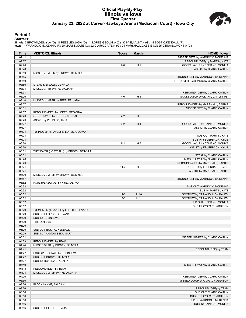#### **Official Play-By-Play Illinois vs Iowa First Quarter January 23, 2022 at Carver-Hawkeye Arena (Mediacom Court) - Iowa City**



#### **Period 1**

<mark>Starters :</mark><br>Illinois: 5 BROWN,DE'MYLA (G); 11 PEEBLES,JADA (G); 14 LOPES,GEOVANA (C); 32 NYE,AALIYAH (G); 44 BOSTIC,KENDALL (F);<br>Iowa: 14 WARNOCK,MCKENNA (F); 20 MARTIN,KATE (G); 22 CLARK,CAITLIN (G); 24 MARSHALL,GABBIE (

| Time           | <b>VISITORS: Illinois</b>                              | <b>Score</b> | <b>Margin</b>  | <b>HOME: Iowa</b>                                                  |
|----------------|--------------------------------------------------------|--------------|----------------|--------------------------------------------------------------------|
| 09:41          |                                                        |              |                | MISSED 3PTR by WARNOCK, MCKENNA                                    |
| 09:37          |                                                        |              |                | REBOUND (OFF) by MARTIN, KATE                                      |
| 09:28          |                                                        | $2 - 0$      | H <sub>2</sub> | GOOD! LAYUP by CZINANO, MONIKA                                     |
| 09:28          |                                                        |              |                | ASSIST by CLARK, CAITLIN                                           |
| 08:59          | MISSED JUMPER by BROWN, DE'MYLA                        |              |                |                                                                    |
| 08:55          |                                                        |              |                | REBOUND (DEF) by WARNOCK, MCKENNA                                  |
| 08:50          |                                                        |              |                | TURNOVER (BADPASS) by CLARK, CAITLIN                               |
| 08:50          | STEAL by BROWN, DE'MYLA                                |              |                |                                                                    |
| 08:34          | MISSED 3PTR by NYE, AALIYAH                            |              |                |                                                                    |
| 08:31          |                                                        |              |                | REBOUND (DEF) by CLARK, CAITLIN                                    |
| 08:26          |                                                        | $4 - 0$      | H4             | GOOD! LAYUP by CLARK, CAITLIN [FB]                                 |
| 08:10<br>08:07 | MISSED JUMPER by PEEBLES, JADA                         |              |                |                                                                    |
| 08:01          |                                                        |              |                | REBOUND (DEF) by MARSHALL, GABBIE<br>MISSED 3PTR by CLARK, CAITLIN |
| 07:57          | REBOUND (DEF) by LOPES, GEOVANA                        |              |                |                                                                    |
| 07:43          | GOOD! LAYUP by BOSTIC, KENDALL                         | $4 - 2$      | H <sub>2</sub> |                                                                    |
| 07:43          | ASSIST by PEEBLES, JADA                                |              |                |                                                                    |
| 07:27          |                                                        | $6 - 2$      | H4             | GOOD! LAYUP by CZINANO, MONIKA                                     |
| 07:27          |                                                        |              |                | ASSIST by CLARK, CAITLIN                                           |
| 07:04          | TURNOVER (TRAVEL) by LOPES, GEOVANA                    |              |                |                                                                    |
| 07:04          |                                                        |              |                | SUB OUT: MARTIN, KATE                                              |
| 07:04          |                                                        |              |                | SUB IN: FEUERBACH, KYLIE                                           |
| 06:50          |                                                        | $8 - 2$      | H <sub>6</sub> | GOOD! LAYUP by CZINANO, MONIKA                                     |
| 06:50          |                                                        |              |                | ASSIST by FEUERBACH, KYLIE                                         |
| 06:31          | TURNOVER (LOSTBALL) by BROWN, DE'MYLA                  |              |                |                                                                    |
| 06:31          |                                                        |              |                | STEAL by CLARK, CAITLIN                                            |
| 06:26          |                                                        |              |                | MISSED LAYUP by CLARK, CAITLIN                                     |
| 06:23          |                                                        |              |                | REBOUND (OFF) by MARSHALL, GABBIE                                  |
| 06:21          |                                                        | $11 - 2$     | H9             | GOOD! 3PTR by FEUERBACH, KYLIE                                     |
| 06:21          |                                                        |              |                | ASSIST by MARSHALL, GABBIE                                         |
| 06:00          | MISSED JUMPER by BROWN, DE'MYLA                        |              |                |                                                                    |
| 05:57          |                                                        |              |                | REBOUND (DEF) by WARNOCK, MCKENNA                                  |
| 05:52          | FOUL (PERSONAL) by NYE, AALIYAH                        |              |                |                                                                    |
| 05:52<br>05:52 |                                                        |              |                | SUB OUT: WARNOCK, MCKENNA<br>SUB IN: MARTIN, KATE                  |
| 05:52          |                                                        | $12 - 2$     | H 10           | GOOD! FT by CZINANO, MONIKA [FB]                                   |
| 05:52          |                                                        | $13 - 2$     | H 11           | GOOD! FT by CZINANO, MONIKA [FB]                                   |
| 05:52          |                                                        |              |                | SUB OUT: CZINANO, MONIKA                                           |
| 05:52          |                                                        |              |                | SUB IN: O'GRADY, ADDISON                                           |
| 05:29          | TURNOVER (TRAVEL) by LOPES, GEOVANA                    |              |                |                                                                    |
| 05:29          | SUB OUT: LOPES, GEOVANA                                |              |                |                                                                    |
| 05:29          | SUB IN: RUBIN, EVA                                     |              |                |                                                                    |
| 05:29          | TIMEOUT 30SEC                                          |              |                |                                                                    |
| 05:29          |                                                        |              |                |                                                                    |
| 05:29          | SUB OUT: BOSTIC, KENDALL                               |              |                |                                                                    |
| 05:29          | SUB IN: ANASTASIESKA, SARA                             |              |                |                                                                    |
| 05:01          |                                                        |              |                | MISSED JUMPER by CLARK, CAITLIN                                    |
| 04:59          | REBOUND (DEF) by TEAM                                  |              |                |                                                                    |
| 04:44          | MISSED 3PTR by BROWN, DE'MYLA                          |              |                |                                                                    |
| 04:41          |                                                        |              |                | REBOUND (DEF) by TEAM                                              |
| 04:27          | FOUL (PERSONAL) by RUBIN, EVA                          |              |                |                                                                    |
| 04:27          | SUB OUT: BROWN, DE'MYLA                                |              |                |                                                                    |
| 04:27          | SUB IN: MCKENZIE, ADALIA                               |              |                |                                                                    |
| 04:19          |                                                        |              |                | MISSED LAYUP by CLARK, CAITLIN                                     |
| 04:18<br>04:04 | REBOUND (DEF) by TEAM<br>MISSED JUMPER by NYE, AALIYAH |              |                |                                                                    |
| 04:00          |                                                        |              |                | REBOUND (DEF) by CLARK, CAITLIN                                    |
| 03:56          |                                                        |              |                | MISSED LAYUP by O'GRADY, ADDISON                                   |
| 03:56          | BLOCK by NYE, AALIYAH                                  |              |                |                                                                    |
| 03:56          |                                                        |              |                | REBOUND (OFF) by TEAM                                              |
| 03:56          |                                                        |              |                | SUB OUT: CLARK, CAITLIN                                            |
| 03:56          |                                                        |              |                | SUB OUT: O'GRADY, ADDISON                                          |
| 03:56          |                                                        |              |                | SUB IN: WARNOCK, MCKENNA                                           |
| 03:56          |                                                        |              |                | SUB IN: CZINANO, MONIKA                                            |
| 03:56          | SUB OUT: PEEBLES, JADA                                 |              |                |                                                                    |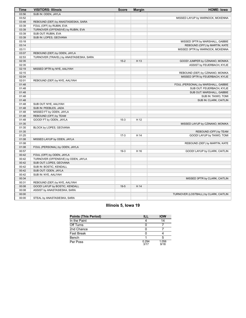| <b>Time</b> | <b>VISITORS: Illinois</b>               | <b>Score</b> | <b>Margin</b> | <b>HOME: Iowa</b>                     |
|-------------|-----------------------------------------|--------------|---------------|---------------------------------------|
| 03:56       | SUB IN: ODEN, JAYLA                     |              |               |                                       |
| 03:52       |                                         |              |               | MISSED LAYUP by WARNOCK, MCKENNA      |
| 03:48       | REBOUND (DEF) by ANASTASIESKA, SARA     |              |               |                                       |
| 03:39       | FOUL (OFF) by RUBIN, EVA                |              |               |                                       |
| 03:39       | TURNOVER (OFFENSIVE) by RUBIN, EVA      |              |               |                                       |
| 03:39       | SUB OUT: RUBIN, EVA                     |              |               |                                       |
| 03:39       | SUB IN: LOPES, GEOVANA                  |              |               |                                       |
| 03:18       |                                         |              |               | MISSED 3PTR by MARSHALL, GABBIE       |
| 03:14       |                                         |              |               | REBOUND (OFF) by MARTIN, KATE         |
| 03:11       |                                         |              |               | MISSED 3PTR by WARNOCK, MCKENNA       |
| 03:07       | REBOUND (DEF) by ODEN, JAYLA            |              |               |                                       |
| 02:53       | TURNOVER (TRAVEL) by ANASTASIESKA, SARA |              |               |                                       |
| 02:35       |                                         | $15 - 2$     | H 13          | GOOD! JUMPER by CZINANO, MONIKA       |
| 02:35       |                                         |              |               | ASSIST by FEUERBACH, KYLIE            |
| 02:19       | MISSED 3PTR by NYE, AALIYAH             |              |               |                                       |
| 02:15       |                                         |              |               | REBOUND (DEF) by CZINANO, MONIKA      |
| 02:04       |                                         |              |               | MISSED 3PTR by FEUERBACH, KYLIE       |
| 02:01       | REBOUND (DEF) by NYE, AALIYAH           |              |               |                                       |
| 01:48       |                                         |              |               | FOUL (PERSONAL) by MARSHALL, GABBIE   |
| 01:48       |                                         |              |               | SUB OUT: FEUERBACH, KYLIE             |
| 01:48       |                                         |              |               | SUB OUT: MARSHALL, GABBIE             |
| 01:48       |                                         |              |               | SUB IN: TAIWO, TOMI                   |
| 01:48       |                                         |              |               | SUB IN: CLARK, CAITLIN                |
| 01:48       | SUB OUT: NYE, AALIYAH                   |              |               |                                       |
| 01:48       | SUB IN: PEEBLES, JADA                   |              |               |                                       |
| 01:48       | MISSED FT by ODEN, JAYLA                |              |               |                                       |
| 01:48       | REBOUND (OFF) by TEAM                   |              |               |                                       |
| 01:48       | GOOD! FT by ODEN, JAYLA                 | $15-3$       | H 12          |                                       |
| 01:35       |                                         |              |               | MISSED LAYUP by CZINANO, MONIKA       |
| 01:35       | BLOCK by LOPES, GEOVANA                 |              |               |                                       |
| 01:35       |                                         |              |               | REBOUND (OFF) by TEAM                 |
| 01:25       |                                         | $17-3$       | H 14          | GOOD! LAYUP by TAIWO, TOMI            |
| 01:08       | MISSED LAYUP by ODEN, JAYLA             |              |               |                                       |
| 01:08       |                                         |              |               | REBOUND (DEF) by MARTIN, KATE         |
| 01:08       | FOUL (PERSONAL) by ODEN, JAYLA          |              |               |                                       |
| 00:57       |                                         | $19-3$       | H 16          | GOOD! LAYUP by CLARK, CAITLIN         |
| 00:42       | FOUL (OFF) by ODEN, JAYLA               |              |               |                                       |
| 00:42       | TURNOVER (OFFENSIVE) by ODEN, JAYLA     |              |               |                                       |
| 00:42       | SUB OUT: LOPES, GEOVANA                 |              |               |                                       |
| 00:42       | SUB IN: BOSTIC, KENDALL                 |              |               |                                       |
| 00:42       | SUB OUT: ODEN, JAYLA                    |              |               |                                       |
| 00:42       | SUB IN: NYE, AALIYAH                    |              |               |                                       |
| 00:34       |                                         |              |               | MISSED 3PTR by CLARK, CAITLIN         |
| 00:31       | REBOUND (DEF) by NYE, AALIYAH           |              |               |                                       |
| 00:08       | GOOD! LAYUP by BOSTIC, KENDALL          | $19-5$       | H 14          |                                       |
| 00:08       | ASSIST by ANASTASIESKA, SARA            |              |               |                                       |
| 00:00       |                                         |              |               | TURNOVER (LOSTBALL) by CLARK, CAITLIN |
| 00:00       | STEAL by ANASTASIESKA, SARA             |              |               |                                       |

## **Illinois 5, Iowa 19**

| <b>Points (This Period)</b> | ILL           | <b>IOW</b>    |
|-----------------------------|---------------|---------------|
| In the Paint                |               | 14            |
| Off Turns                   |               |               |
| 2nd Chance                  |               |               |
| Fast Break                  |               |               |
| Bench                       |               |               |
| Per Poss                    | 0.294<br>3/17 | 1.056<br>9/18 |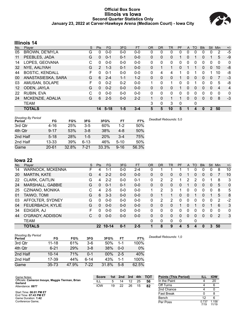#### **Official Box Score Illinois vs Iowa Second Quarter Statistics Only January 23, 2022 at Carver-Hawkeye Arena (Mediacom Court) - Iowa City**



## **Illinois 14**

| No. | Player                 | S | <b>Pts</b>   | <b>FG</b> | 3FG     | <b>FT</b> | <b>OR</b>    | DR           | TR          | PF | A            | TO | <b>Blk</b> | <b>Stl</b>   | Min | $+/-$          |
|-----|------------------------|---|--------------|-----------|---------|-----------|--------------|--------------|-------------|----|--------------|----|------------|--------------|-----|----------------|
| 05  | <b>BROWN, DE'MYLA</b>  | G | 0            | $0 - 0$   | $0 - 0$ | $0 - 0$   | 0            | 0            | 0           | 0  |              | 0  | 0          | 0            | 2   | $-5$           |
| 11  | PEEBLES, JADA          | G | $\mathbf{0}$ | $0 - 1$   | $0 - 1$ | $0-0$     | $\Omega$     | 0            | 0           |    | 0            |    | 0          |              | 5   | $-9$           |
| 14  | LOPES, GEOVANA         | С | 0            | $0 - 0$   | $0 - 0$ | $0 - 0$   | $\Omega$     | 0            | 0           | 0  | 0            | 0  | 0          | 0            | 0   | 0              |
| 32  | NYE, AALIYAH           | G | 2            | $1 - 3$   | $0 - 1$ | $0 - 0$   | $\Omega$     |              | 1           | 0  |              |    | 0          | $\Omega$     | 10  | -8             |
| 44  | <b>BOSTIC, KENDALL</b> | F | 0            | $0 - 1$   | $0 - 0$ | $0 - 0$   | $\mathbf{0}$ | 4            | 4           | 1  | 0            |    | 0          |              | 10  | -8             |
| 00  | ANASTASIESKA, SARA     | G | 6            | $2 - 4$   | $1 - 1$ | $1 - 2$   | $\mathbf{0}$ | $\Omega$     | 0           | 1  | $\Omega$     | 0  | 0          | $\Omega$     | 7   | $-3$           |
| 03  | AMUSAN, SOLAPE         | F | 0            | $0 - 2$   | $0 - 2$ | $0 - 0$   | 1            | $\Omega$     | 1           | 0  | 0            |    | 0          | 0            | 5   | -8             |
| 12  | ODEN, JAYLA            | G | $\mathbf{0}$ | $0 - 2$   | $0 - 0$ | $0 - 0$   | $\mathbf{0}$ | $\mathbf{0}$ | 0           |    | $\mathbf{0}$ | 0  | 0          | $\mathbf{0}$ | 4   | $\overline{4}$ |
| 22  | RUBIN, EVA             | C | <sup>0</sup> | $0 - 0$   | $0 - 0$ | $0 - 0$   | $\Omega$     | 0            | 0           | 0  | 0            | 0  | 0          | 0            | 0   | 0              |
| 24  | MCKENZIE, ADALIA       | G | 6            | $2 - 5$   | $0 - 0$ | $2 - 2$   | $\mathbf{1}$ | 0            | $\mathbf 1$ | 1  | $\Omega$     | 0  | 0          | $\Omega$     | 8   | $-3$           |
|     | <b>TEAM</b>            |   |              |           |         |           | 3            | 0            | 3           | 0  |              | 0  |            |              |     |                |
|     | <b>TOTALS</b>          |   | 14           | $5 - 18$  | $1 - 5$ | $3 - 4$   | 5            | 5            | 10          | 5  |              | 4  | 0          |              | 50  |                |

| <b>Shooting By Period</b><br>Period | FG        | FG%   | 3FG      | 3FG%       | FT       | FT%   | Deadball Rebounds: 5,0 |
|-------------------------------------|-----------|-------|----------|------------|----------|-------|------------------------|
| 3rd Qtr                             | $4 - 16$  | 25%   | $3-5$    | 60%        | $1-2$    | 50%   |                        |
| 4th Qtr                             | $9 - 17$  | 53%   | $3 - 8$  | 38%        | $4 - 8$  | 50%   |                        |
| 2nd Half                            | $5 - 18$  | 28%   | $1-5$    | <b>20%</b> | $3 - 4$  | 75%   |                        |
| 2nd Half                            | 13-33     | 39%   | $6 - 13$ | 46%        | $5 - 10$ | 50%   |                        |
| Game                                | $20 - 61$ | 32.8% | 7-21     | 33.3%      | $9 - 16$ | 56.3% |                        |

# **Iowa 22**

| No. | Plaver              | S | <b>Pts</b>        | <b>FG</b> | 3FG     | <b>FT</b> | <b>OR</b> | <b>DR</b> | TR       | <b>PF</b>    | A | TO       | <b>Blk</b> | Stl | Min      | $+/-$    |
|-----|---------------------|---|-------------------|-----------|---------|-----------|-----------|-----------|----------|--------------|---|----------|------------|-----|----------|----------|
| 14  | WARNOCK, MCKENNA    | F | 4                 | 1-1       | $0 - 0$ | 2-4       | 0         |           |          |              |   | 0        |            | 0   | 8        | 10       |
| 20  | <b>MARTIN, KATE</b> | G | 4                 | $2 - 2$   | $0 - 0$ | $0 - 0$   | 0         | 0         | 0        | 0            |   | 0        | 0          | 0   | 7        | 10       |
| 22  | CLARK, CAITLIN      | G | 4                 | $2 - 2$   | $0 - 0$ | $0 - 1$   | 0         | 2         | 2        | 4            | 2 | 2        | ი          |     | 8        | 3        |
| 24  | MARSHALL, GABBIE    | G | 0                 | $0 - 1$   | $0 - 1$ | $0 - 0$   | 0         | $\Omega$  | $\Omega$ | $\Omega$     |   | 0        | 0          | 0   | 5        | $\Omega$ |
| 25  | CZINANO, MONIKA     | C | 4                 | $2 - 5$   | $0 - 0$ | $0 - 0$   | 1         | 2         | 3        | 1            | 0 | 0        | 0          | 0   | 8        | 5        |
| 01  | TAIWO, TOMI         | G | 6                 | $3 - 3$   | $0 - 0$ | $0 - 0$   | 0         | 1         | 1        | $\Omega$     | 0 |          | $\Omega$   |     | 5        | 8        |
| 03  | AFFOLTER, SYDNEY    | G | $\Omega$          | $0 - 0$   | $0 - 0$ | $0 - 0$   | 0         | 2         | 2        | 0            | 0 | 0        | 0          | 0   | 2        | $-2$     |
| 04  | FEUERBACH, KYLIE    | G | 0                 | $0 - 0$   | $0 - 0$ | $0 - 0$   | 0         | $\Omega$  | 0        |              | 0 |          | 0          |     | 6        | 3        |
| 34  | EDIGER, AJ          | F | 0                 | $0 - 0$   | $0 - 0$ | $0 - 0$   | 0         | 0         | 0        | 0            | 0 | 0        | ი          | 0   | $\Omega$ | 0        |
| 44  | O'GRADY, ADDISON    | C | $\Omega$          | $0 - 0$   | $0 - 0$ | $0 - 0$   | 0         | $\Omega$  | $\Omega$ | $\Omega$     | 0 | $\Omega$ | 0          | 0   | 2        | 3        |
|     | <b>TEAM</b>         |   |                   |           |         |           | 0         | 0         | 0        | $\mathbf{0}$ |   | 0        |            |     |          |          |
|     | <b>TOTALS</b>       |   | $22 \overline{)}$ | $10 - 14$ | $0 - 1$ | $2 - 5$   |           | 8         | 9        | 4            | 5 | 4        | 0          | 3   | 50       |          |

| <b>Shooting By Period</b><br>Period | FG        | FG%   | 3FG     | 3FG%  | FT      | FT%   | De |
|-------------------------------------|-----------|-------|---------|-------|---------|-------|----|
| 3rd Qtr                             | 11-18     | 61%   | $3-6$   | 50%   | 1-1     | 100%  |    |
| 4th Qtr                             | $6 - 21$  | 29%   | $3 - 8$ | 38%   | $0 - 0$ | 0%    |    |
| 2nd Half                            | $10 - 14$ | 71%   | $0 - 1$ | 00%   | $2 - 5$ | 40%   |    |
| 2nd Half                            | 17-39     | 44%   | $6-14$  | 43%   | $1 - 1$ | 100%  |    |
| Game                                | $35 - 73$ | 47.9% | 7-22    | 31.8% | $5-8$   | 62.5% |    |

*Deadball Rebounds:* 1,0

| Game Notes:                                                 | <b>Score</b> |    | 1st 2nd | 3rd | 4th | тот | <b>Points (This Period)</b> | ill           | <b>IOW</b>     |
|-------------------------------------------------------------|--------------|----|---------|-----|-----|-----|-----------------------------|---------------|----------------|
| Officials: Cameron Inouye, Maggie Tierman, Brian<br>Garland | ILL          | 5  | 14      | 12  | 25  | 56  | In the Paint                |               | 20             |
| Attendance: 8977                                            | <b>IOW</b>   | 19 | 22      | 26  | 15  | 82  | Off Turns                   |               |                |
|                                                             |              |    |         |     |     |     | 2nd Chance                  |               |                |
| Start Time: 06:01 PM ET<br>End Time: 07:43 PM ET            |              |    |         |     |     |     | <b>Fast Break</b>           |               |                |
| Game Duration: 1:42                                         |              |    |         |     |     |     | Bench                       |               |                |
| Conference Game:                                            |              |    |         |     |     |     | Per Poss                    | በ 737<br>7/19 | 1.158<br>11/19 |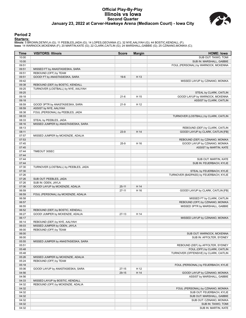#### **Official Play-By-Play Illinois vs Iowa Second Quarter January 23, 2022 at Carver-Hawkeye Arena (Mediacom Court) - Iowa City**



#### **Period 2**

#### **Starters:**

Illinois: 5 BROWN,DE'MYLA (G); 11 PEEBLES,JADA (G); 14 LOPES,GEOVANA (C); 32 NYE,AALIYAH (G); 44 BOSTIC,KENDALL (F);<br>Iowa: 14 WARNOCK,MCKENNA (F); 20 MARTIN,KATE (G); 22 CLARK,CAITLIN (G); 24 MARSHALL,GABBIE (G); 25 CZINAN

| Time           | <b>VISITORS: Illinois</b>            | <b>Score</b> | <b>Margin</b> | <b>HOME: Iowa</b>                                               |
|----------------|--------------------------------------|--------------|---------------|-----------------------------------------------------------------|
| 10:00          |                                      |              |               | SUB OUT: TAIWO, TOMI                                            |
| 10:00          |                                      |              |               | SUB IN: MARSHALL, GABBIE                                        |
| 09:51          |                                      |              |               | FOUL (PERSONAL) by WARNOCK, MCKENNA                             |
| 09:51          | MISSED FT by ANASTASIESKA, SARA      |              |               |                                                                 |
| 09:51          | REBOUND (OFF) by TEAM                |              |               |                                                                 |
| 09:51          | GOOD! FT by ANASTASIESKA, SARA       | $19-6$       | H 13          |                                                                 |
| 09:42          |                                      |              |               | MISSED LAYUP by CZINANO, MONIKA                                 |
| 09:38          | REBOUND (DEF) by BOSTIC, KENDALL     |              |               |                                                                 |
| 09:25          | TURNOVER (LOSTBALL) by NYE, AALIYAH  |              |               |                                                                 |
| 09:25<br>09:18 |                                      |              | H 15          | STEAL by CLARK, CAITLIN<br>GOOD! LAYUP by WARNOCK, MCKENNA      |
| 09:18          |                                      | $21-6$       |               | ASSIST by CLARK, CAITLIN                                        |
| 08:59          | GOOD! 3PTR by ANASTASIESKA, SARA     | $21-9$       | H 12          |                                                                 |
| 08:59          | ASSIST by NYE, AALIYAH               |              |               |                                                                 |
| 08:38          | FOUL (PERSONAL) by PEEBLES, JADA     |              |               |                                                                 |
| 08:33          |                                      |              |               | TURNOVER (LOSTBALL) by CLARK, CAITLIN                           |
| 08:33          | STEAL by PEEBLES, JADA               |              |               |                                                                 |
| 08:16          | MISSED JUMPER by ANASTASIESKA, SARA  |              |               |                                                                 |
| 08:13          |                                      |              |               | REBOUND (DEF) by CLARK, CAITLIN                                 |
| 08:11          |                                      | $23-9$       | H 14          | GOOD! LAYUP by CLARK, CAITLIN [FB]                              |
| 07:57          | MISSED JUMPER by MCKENZIE, ADALIA    |              |               |                                                                 |
| 07:53          |                                      |              |               | REBOUND (DEF) by CZINANO, MONIKA                                |
| 07:45          |                                      | $25-9$       | H 16          | GOOD! LAYUP by CZINANO, MONIKA                                  |
| 07:45          |                                      |              |               | ASSIST by MARTIN, KATE                                          |
| 07:44          | TIMEOUT 30SEC                        |              |               |                                                                 |
| 07:44          |                                      |              |               |                                                                 |
| 07:44          |                                      |              |               | SUB OUT: MARTIN, KATE                                           |
| 07:44          |                                      |              |               | SUB IN: FEUERBACH, KYLIE                                        |
| 07:30          | TURNOVER (LOSTBALL) by PEEBLES, JADA |              |               |                                                                 |
| 07:30          |                                      |              |               | STEAL by FEUERBACH, KYLIE                                       |
| 07:26          |                                      |              |               | TURNOVER (BADPASS) by FEUERBACH, KYLIE                          |
| 07:26          | SUB OUT: PEEBLES, JADA               |              |               |                                                                 |
| 07:26          | SUB IN: ODEN, JAYLA                  |              |               |                                                                 |
| 07:06          | GOOD! LAYUP by MCKENZIE, ADALIA      | $25 - 11$    | H 14          |                                                                 |
| 06:59          |                                      | $27 - 11$    | H 16          | GOOD! LAYUP by CLARK, CAITLIN [FB]                              |
| 06:59<br>06:58 | FOUL (PERSONAL) by MCKENZIE, ADALIA  |              |               |                                                                 |
| 06:57          |                                      |              |               | MISSED FT by CLARK, CAITLIN<br>REBOUND (OFF) by CZINANO, MONIKA |
| 06:55          |                                      |              |               | MISSED 3PTR by MARSHALL, GABBIE                                 |
| 06:52          | REBOUND (DEF) by BOSTIC, KENDALL     |              |               |                                                                 |
| 06:27          | GOOD! JUMPER by MCKENZIE, ADALIA     | $27-13$      | H 14          |                                                                 |
| 06:17          |                                      |              |               | MISSED LAYUP by CZINANO, MONIKA                                 |
| 06:14          | REBOUND (DEF) by NYE, AALIYAH        |              |               |                                                                 |
| 06:03          | MISSED JUMPER by ODEN, JAYLA         |              |               |                                                                 |
| 06:00          | REBOUND (OFF) by TEAM                |              |               |                                                                 |
| 06:00          |                                      |              |               | SUB OUT: WARNOCK, MCKENNA                                       |
| 06:00          |                                      |              |               | SUB IN: AFFOLTER, SYDNEY                                        |
| 05:55          | MISSED JUMPER by ANASTASIESKA, SARA  |              |               |                                                                 |
| 05:51          |                                      |              |               | REBOUND (DEF) by AFFOLTER, SYDNEY                               |
| 05:48          |                                      |              |               | FOUL (OFF) by CLARK, CAITLIN                                    |
| 05:48          |                                      |              |               | TURNOVER (OFFENSIVE) by CLARK, CAITLIN                          |
| 05:26          | MISSED JUMPER by MCKENZIE, ADALIA    |              |               |                                                                 |
| 05:24          | REBOUND (OFF) by TEAM                |              |               |                                                                 |
| 05:18          |                                      |              |               | FOUL (PERSONAL) by FEUERBACH, KYLIE                             |
| 05:06          | GOOD! LAYUP by ANASTASIESKA, SARA    | $27 - 15$    | H 12          |                                                                 |
| 04:56          |                                      | 29-15        | H 14          | GOOD! LAYUP by CZINANO, MONIKA                                  |
| 04:56          |                                      |              |               | ASSIST by MARSHALL, GABBIE                                      |
| 04:33          | MISSED LAYUP by BOSTIC, KENDALL      |              |               |                                                                 |
| 04:32          | REBOUND (OFF) by MCKENZIE, ADALIA    |              |               |                                                                 |
| 04:32          |                                      |              |               | FOUL (PERSONAL) by CZINANO, MONIKA                              |
| 04:32          |                                      |              |               | SUB OUT: FEUERBACH, KYLIE                                       |
| 04:32          |                                      |              |               | SUB OUT: MARSHALL, GABBIE                                       |
| 04:32<br>04:32 |                                      |              |               | SUB OUT: CZINANO, MONIKA<br>SUB IN: TAIWO, TOMI                 |
| 04:32          |                                      |              |               | SUB IN: MARTIN, KATE                                            |
|                |                                      |              |               |                                                                 |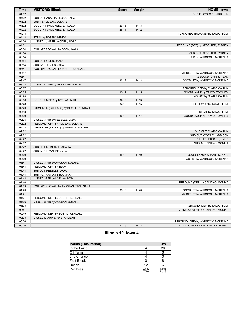| <b>Time</b> | <b>VISITORS: Illinois</b>             | <b>Score</b> | <b>Margin</b> | <b>HOME: Iowa</b>                  |
|-------------|---------------------------------------|--------------|---------------|------------------------------------|
| 04:32       |                                       |              |               | SUB IN: O'GRADY, ADDISON           |
| 04:32       | SUB OUT: ANASTASIESKA, SARA           |              |               |                                    |
| 04:32       | SUB IN: AMUSAN, SOLAPE                |              |               |                                    |
| 04:32       | GOOD! FT by MCKENZIE, ADALIA          | 29-16        | H 13          |                                    |
| 04:32       | GOOD! FT by MCKENZIE, ADALIA          | 29-17        | H 12          |                                    |
| 04:18       |                                       |              |               | TURNOVER (BADPASS) by TAIWO, TOMI  |
| 04:18       | STEAL by BOSTIC, KENDALL              |              |               |                                    |
| 04:06       | MISSED JUMPER by ODEN, JAYLA          |              |               |                                    |
| 04:01       |                                       |              |               | REBOUND (DEF) by AFFOLTER, SYDNEY  |
| 03:54       | FOUL (PERSONAL) by ODEN, JAYLA        |              |               |                                    |
| 03:54       |                                       |              |               | SUB OUT: AFFOLTER, SYDNEY          |
| 03:54       |                                       |              |               | SUB IN: WARNOCK, MCKENNA           |
| 03:54       | SUB OUT: ODEN, JAYLA                  |              |               |                                    |
| 03:54       | SUB IN: PEEBLES, JADA                 |              |               |                                    |
| 03:47       | FOUL (PERSONAL) by BOSTIC, KENDALL    |              |               |                                    |
| 03:47       |                                       |              |               | MISSED FT by WARNOCK, MCKENNA      |
| 03:47       |                                       |              |               | REBOUND (OFF) by TEAM              |
| 03:47       |                                       | $30 - 17$    | H 13          | GOOD! FT by WARNOCK, MCKENNA       |
| 03:32       | MISSED LAYUP by MCKENZIE, ADALIA      |              |               |                                    |
| 03:27       |                                       |              |               | REBOUND (DEF) by CLARK, CAITLIN    |
| 03:25       |                                       | $32 - 17$    | H 15          | GOOD! LAYUP by TAIWO, TOMI [FB]    |
| 03:25       |                                       |              |               | ASSIST by CLARK, CAITLIN           |
| 03:06       | GOOD! JUMPER by NYE, AALIYAH          | $32-19$      | H 13          |                                    |
| 02:48       |                                       | 34-19        | H 15          | GOOD! LAYUP by TAIWO, TOMI         |
| 02:43       | TURNOVER (BADPASS) by BOSTIC, KENDALL |              |               |                                    |
| 02:43       |                                       |              |               | STEAL by TAIWO, TOMI               |
| 02:39       |                                       | $36-19$      | H 17          | GOOD! LAYUP by TAIWO, TOMI [FB]    |
| 02:25       | MISSED 3PTR by PEEBLES, JADA          |              |               |                                    |
| 02:22       | REBOUND (OFF) by AMUSAN, SOLAPE       |              |               |                                    |
| 02:22       | TURNOVER (TRAVEL) by AMUSAN, SOLAPE   |              |               |                                    |
| 02:22       |                                       |              |               | SUB OUT: CLARK, CAITLIN            |
| 02:22       |                                       |              |               | SUB OUT: O'GRADY, ADDISON          |
| 02:22       |                                       |              |               | SUB IN: FEUERBACH, KYLIE           |
| 02:22       |                                       |              |               | SUB IN: CZINANO, MONIKA            |
| 02:22       | SUB OUT: MCKENZIE, ADALIA             |              |               |                                    |
| 02:22       | SUB IN: BROWN, DE'MYLA                |              |               |                                    |
| 02:09       |                                       | 38-19        | H 19          | GOOD! LAYUP by MARTIN, KATE        |
| 02:09       |                                       |              |               | ASSIST by WARNOCK, MCKENNA         |
| 01:47       | MISSED 3PTR by AMUSAN, SOLAPE         |              |               |                                    |
| 01:44       | REBOUND (OFF) by TEAM                 |              |               |                                    |
| 01:44       | SUB OUT: PEEBLES, JADA                |              |               |                                    |
| 01:44       | SUB IN: ANASTASIESKA, SARA            |              |               |                                    |
| 01:42       | MISSED 3PTR by NYE, AALIYAH           |              |               |                                    |
| 01:40       |                                       |              |               | REBOUND (DEF) by CZINANO, MONIKA   |
| 01:23       | FOUL (PERSONAL) by ANASTASIESKA, SARA |              |               |                                    |
| 01:23       |                                       | 39-19        | H 20          | GOOD! FT by WARNOCK, MCKENNA       |
| 01:21       |                                       |              |               | MISSED FT by WARNOCK, MCKENNA      |
| 01:21       | REBOUND (DEF) by BOSTIC, KENDALL      |              |               |                                    |
| 01:06       | MISSED 3PTR by AMUSAN, SOLAPE         |              |               |                                    |
| 01:03       |                                       |              |               | REBOUND (DEF) by TAIWO, TOMI       |
| 00:51       |                                       |              |               | MISSED JUMPER by CZINANO, MONIKA   |
| 00:49       | REBOUND (DEF) by BOSTIC, KENDALL      |              |               |                                    |
| 00:28       | MISSED LAYUP by NYE, AALIYAH          |              |               |                                    |
| 00:26       |                                       |              |               | REBOUND (DEF) by WARNOCK, MCKENNA  |
| 00:00       |                                       | 41-19        | H 22          | GOOD! JUMPER by MARTIN, KATE [PNT] |

## **Illinois 19, Iowa 41**

| <b>Points (This Period)</b> |               | <b>IOW</b>     |
|-----------------------------|---------------|----------------|
| In the Paint                |               | 20             |
| Off Turns                   |               |                |
| 2nd Chance                  |               |                |
| Fast Break                  |               |                |
| Bench                       | 12            |                |
| Per Poss                    | 0.737<br>7/19 | 1.158<br>11/19 |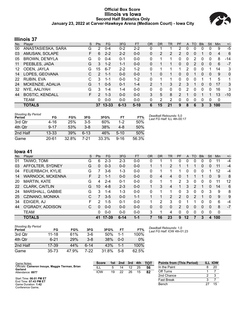#### **Official Box Score Illinois vs Iowa Second Half Statistics Only January 23, 2022 at Carver-Hawkeye Arena (Mediacom Court) - Iowa City**



## **Illinois 37**

| No. | Player                 | S  | <b>Pts</b>    | FG        | 3FG      | <b>FT</b> | <b>OR</b>    | <b>DR</b> | TR             | PF            | A | TO       | <b>Blk</b> | Stl | <b>Min</b> | $+/-$ |
|-----|------------------------|----|---------------|-----------|----------|-----------|--------------|-----------|----------------|---------------|---|----------|------------|-----|------------|-------|
| 00  | ANASTASIESKA, SARA     | G  | 2             | $0 - 4$   | $0 - 2$  | $2 - 2$   | 0            |           |                | 2             | 0 | 0        | $\Omega$   | 0   | 9          | -5    |
| 03  | AMUSAN, SOLAPE         | F. | 6             | $2 - 2$   | $2 - 2$  | $0 - 0$   | 0            | 2         | $\overline{2}$ | 2             | 0 | $\Omega$ |            | 0   | 4          | 6     |
| 05  | <b>BROWN, DE'MYLA</b>  | G  | $\Omega$      | $0 - 4$   | $0 - 1$  | $0-0$     | 0            |           | 1              | $\Omega$      | 0 | 2        | 0          | 0   | 8          | -14   |
| 11  | PEEBLES, JADA          | G  | 3             | $1 - 2$   | $1 - 1$  | $0 - 0$   | 0            |           |                | 0             | 0 | 2        | 0          | 0   | 6          | $-7$  |
| 12  | ODEN, JAYLA            | G  | 15            | $6 - 7$   | $2 - 2$  | $1 - 2$   | 0            | 1         | 1              | 1             | 2 | 0        | 0          | 1   | 14         | 3     |
| 14  | LOPES, GEOVANA         | С  | 2             | $1 - 1$   | $0 - 0$  | $0 - 0$   | $\mathbf{1}$ | 0         | 1.             | 0             | 0 |          | 0          | 0   | 9          | 0     |
| 22  | RUBIN, EVA             | C  | 3             | 1-1       | $0 - 0$  | $1 - 2$   | 0            | 1         | 1              | 0             | 0 | $\Omega$ |            | 1   | 5          | 1     |
| 24  | MCKENZIE, ADALIA       | G  |               | $0 - 5$   | $0 - 1$  | $1 - 4$   | 2            | 1         | 3              | 2             | 3 | 1        | 0          | 0   | 17         | 3     |
| 32  | NYE, AALIYAH           | G  | 3             | $1 - 4$   | $1 - 4$  | $0 - 0$   | $\Omega$     | 0         | $\Omega$       | $\Omega$      | 2 | $\Omega$ | 0          | 0   | 16         | 3     |
| 44  | <b>BOSTIC, KENDALL</b> | F. | $\mathcal{P}$ | $1 - 3$   | $0 - 0$  | $0 - 0$   | 3            | 5         | 8              | $\mathcal{P}$ |   | 0        |            | 1   | 13         | $-10$ |
|     | <b>TEAM</b>            |    | 0             | $0 - 0$   | $0 - 0$  | $0 - 0$   | 0            | 2         | 2              | 0             | 0 | 0        | 0          | 0   | 0          |       |
|     | <b>TOTALS</b>          |    | 37            | $13 - 33$ | $6 - 13$ | $5 - 10$  | 6            | 15        | 21             | 9             | 8 | 6        | 3          | 3   | 100        |       |

| <b>Shooting By Period</b><br>Period | FG        | FG%   | 3FG      | 3FG%  | FT       | FT%   | Deadball Rebounds: 5,0<br>Last FG Half: ILL 4th-00:17 |
|-------------------------------------|-----------|-------|----------|-------|----------|-------|-------------------------------------------------------|
| 3rd Qtr                             | 4-16      | 25%   | $3 - 5$  | 60%   | $1 - 2$  | 50%   |                                                       |
| 4th Otr                             | $9 - 17$  | 53%   | $3 - 8$  | 38%   | 4-8      | 50%   |                                                       |
| 2nd Half                            | $13 - 33$ | 39%   | $6 - 13$ | 46%   | $5-10$   | 50%   |                                                       |
| Game                                | $20 - 61$ | 32.8% | 7-21     | 33.3% | $9 - 16$ | 56.3% |                                                       |

## **Iowa 41**

| No. | Plaver                  | S  | <b>Pts</b>    | FG      | 3FG      | <b>FT</b> | <b>OR</b>   | <b>DR</b> | TR             | PF            | A        | TO            | <b>B</b> lk  | Stl      | Min         | $+/-$ |
|-----|-------------------------|----|---------------|---------|----------|-----------|-------------|-----------|----------------|---------------|----------|---------------|--------------|----------|-------------|-------|
| 01  | TAIWO, TOMI             | G  | 6             | $2 - 3$ | $2 - 3$  | $0 - 0$   | 0           |           |                | 0             | 0        | 0             | 0            | 0        | 11          | $-4$  |
| 03  | AFFOLTER, SYDNEY        | G  | 0             | $0 - 3$ | $0 - 0$  | $0 - 0$   |             |           | 2              |               |          |               | 0            | 0        | 11          | $-4$  |
| 04  | FEUERBACH, KYLIE        | G  |               | $3-6$   | 1-3      | $0 - 0$   | 0           |           |                |               | 0        | 0             | 0            |          | 12          | $-4$  |
| 14  | <b>WARNOCK, MCKENNA</b> | F  | $\mathcal{P}$ | $1 - 1$ | $0 - 0$  | $0 - 0$   | 0           | 4         | 4              | 0             |          |               |              | 0        | 9           | 8     |
| 20  | <b>MARTIN, KATE</b>     | G  | 4             | $2 - 4$ | $0 - 1$  | $0 - 0$   | 0           |           |                | 2             | 3        | 0             | 0            | 0        | 11          | 12    |
| 22  | <b>CLARK, CAITLIN</b>   | G  | 10            | $4 - 8$ | $2 - 3$  | $0 - 0$   | $\mathbf 1$ | 3         | $\overline{4}$ |               | 3        | 2             |              | 0        | 14          | 6     |
| 24  | MARSHALL, GABBIE        | G  | 3             | $1 - 4$ | 1-3      | $0 - 0$   | 0           |           | 1              | $\Omega$      | 3        | 0             | $\mathbf{0}$ | 3        | 9           | 8     |
| 25  | CZINANO, MONIKA         | C  | 7             | $3 - 5$ | $0 - 0$  | $1 - 1$   |             |           | 2              | $\mathcal{P}$ | $\Omega$ | $\mathcal{P}$ |              | $\Omega$ | 9           | 9     |
| 34  | EDIGER, AJ              | F  | 2             | $1 - 5$ | $0 - 1$  | $0 - 0$   |             | 2         | 3              | 0             |          |               | 0            | 0        | 6           | -4    |
| 44  | O'GRADY, ADDISON        | C. | $\Omega$      | $0 - 0$ | $0 - 0$  | $0 - 0$   | 0           | 0         | 0              | $\mathcal{P}$ | $\Omega$ | 0             | $\mathbf{0}$ | 0        | 8           | $-7$  |
|     | <b>TEAM</b>             |    | 0             | $0 - 0$ | $0 - 0$  | $0 - 0$   | 3           |           | 4              | 0             | 0        | 0             | 0            | 0        | $\mathbf 0$ |       |
|     | <b>TOTALS</b>           |    | 41            | 17-39   | $6 - 14$ | $1 - 1$   |             | 16        | 23             | 9             | 12       | 7             | 3            | 4        | 100         |       |

| <b>Shooting By Period</b><br>Period | FG       | FG%   | 3FG     | 3FG%  | FT      | FT%   |
|-------------------------------------|----------|-------|---------|-------|---------|-------|
| 3rd Qtr                             | 11-18    | 61%   | $3-6$   | 50%   | $1 - 1$ | 100%  |
| 4th Otr                             | $6 - 21$ | 29%   | $3 - 8$ | 38%   | $0 - 0$ | $0\%$ |
| 2nd Half                            | 17-39    | 44%   | ჩ-14    | 43%   | $1 - 1$ | 100%  |
| Game                                | 35-73    | 47.9% | 7-22    | 31.8% | $5-8$   | 62.5% |

*Deadball Rebounds:* 1,0 *Last FG Half:* IOW 4th-01:23

Bench 27 15

| Game Notes:                                                 | <b>Score</b> | 1st | 2nd | 3rd | 4th | <b>TOT</b> | <b>Points from (This Period)</b> | ILL IOW |
|-------------------------------------------------------------|--------------|-----|-----|-----|-----|------------|----------------------------------|---------|
| Officials: Cameron Inouye, Maggie Tierman, Brian<br>Garland | ILL          |     | 14  | 12  | 25  | 56         | In the Paint                     | 20      |
| Attendance: 8977                                            | <b>IOW</b>   | 19  | つつ  | 26  | 15  | 82         | Off Turns                        |         |
|                                                             |              |     |     |     |     |            | 2nd Chance                       |         |
| Start Time: 06:01 PM ET<br>Find Time: 07:43 PM FT           |              |     |     |     |     |            | Fast Break                       |         |

Start Time: **06:01 PM ET** End Time: **07:43 PM ET** Game Duration: **1:42** Conference Game;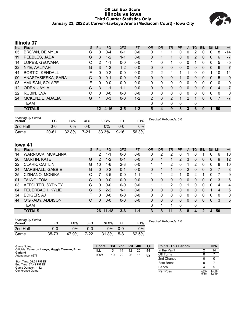#### **Official Box Score Illinois vs Iowa Third Quarter Statistics Only January 23, 2022 at Carver-Hawkeye Arena (Mediacom Court) - Iowa City**



## **Illinois 37**

| No.               | Player                 | S | <b>Pts</b> | <b>FG</b> | 3FG     | <b>FT</b> | <b>OR</b>    | <b>DR</b> | TR | <b>PF</b> | A             | TO       | <b>Blk</b> | Stl          | Min            | $+/-$        |
|-------------------|------------------------|---|------------|-----------|---------|-----------|--------------|-----------|----|-----------|---------------|----------|------------|--------------|----------------|--------------|
| 05                | <b>BROWN, DE'MYLA</b>  | G | 0          | $0 - 4$   | $0 - 1$ | $0-0$     | 0            |           |    | 0         | 0             | 2        | 0          | 0            | 8              | -14          |
| 11                | PEEBLES, JADA          | G | 3          | $1 - 2$   | $1 - 1$ | $0 - 0$   | 0            |           | 1. | 0         | $\mathbf{0}$  | 2        | 0          | $\mathbf{0}$ | 6              | $-7$         |
| 14                | LOPES, GEOVANA         | C | 2          | $1 - 1$   | $0 - 0$ | $0 - 0$   | 1            | 0         | 1  | 0         | 0             |          | 0          | 0            | 5              | -5           |
| 32                | NYE, AALIYAH           | G | 3          | $1 - 2$   | $1 - 2$ | $0 - 0$   | $\mathbf{0}$ | 0         | 0  | 0         | $\mathbf{0}$  | 0        | 0          | $\mathbf{0}$ | 6              | $-7$         |
| 44                | <b>BOSTIC, KENDALL</b> | F | 0          | $0 - 2$   | $0 - 0$ | $0 - 0$   | 2            | 2         | 4  |           |               | $\Omega$ | 0          |              | 10             | $-14$        |
| 00                | ANASTASIESKA, SARA     | G | $\Omega$   | $0 - 1$   | $0 - 0$ | $0 - 0$   | $\Omega$     | 0         | 0  |           | $\Omega$      | 0        | 0          | $\Omega$     | 5              | $-9$         |
| 03                | AMUSAN, SOLAPE         | F | 0          | $0 - 0$   | $0 - 0$ | $0 - 0$   | $\mathbf{0}$ | 0         | 0  | 0         | 0             | 0        | 0          | 0            | 0              | 0            |
| $12 \overline{ }$ | ODEN, JAYLA            | G | 3          | $1 - 1$   | $1 - 1$ | $0 - 0$   | $\Omega$     | 0         | 0  | 0         | $\Omega$      | 0        | $\Omega$   | $\Omega$     | $\overline{4}$ | $-7$         |
| 22                | RUBIN, EVA             | C | 0          | $0 - 0$   | $0 - 0$ | $0-0$     | $\Omega$     | 0         | 0  | 0         | 0             | 0        | 0          | $\Omega$     | 0              | $\mathbf{0}$ |
| 24                | MCKENZIE, ADALIA       | G |            | $0 - 3$   | $0 - 0$ | $1 - 2$   | 2            | $\Omega$  | 2  | 1         | $\mathcal{P}$ | 1        | 0          | $\mathbf{0}$ | $\overline{7}$ | $-7$         |
|                   | <b>TEAM</b>            |   |            |           |         |           | 0            | 0         | 0  | 0         |               | 0        |            |              |                |              |
|                   | <b>TOTALS</b>          |   | $12 \,$    | $4 - 16$  | $3 - 5$ | $1 - 2$   | 5            | 4         | 9  | 3         | 3             | 6        | 0          | 1            | 50             |              |

| <b>Shooting By Period</b><br>Period | FG        | FG%   | 3FG     | 3FG%  | FТ       | FT%   | Deadball Rebounds: 5,0 |
|-------------------------------------|-----------|-------|---------|-------|----------|-------|------------------------|
| 2nd Half                            | 0-0       | 0%    | $0 - 0$ | 0%    | 0-0      | 0%    |                        |
| Game                                | $20 - 61$ | 32.8% | 7-21    | 33.3% | $9 - 16$ | 56.3% |                        |

## **Iowa 41**

| No. | Plaver              | S | <b>Pts</b>      | FG.       | 3FG     | <b>FT</b> | <b>OR</b> | <b>DR</b> | TR | <b>PF</b>    | A        | TO       | <b>Blk</b> | Stl          | Min | $+/-$ |
|-----|---------------------|---|-----------------|-----------|---------|-----------|-----------|-----------|----|--------------|----------|----------|------------|--------------|-----|-------|
| 14  | WARNOCK, MCKENNA    | F | 2               | 1-1       | $0-0$   | $0 - 0$   | 0         | 2         | 2  | 0            |          |          |            |              | 6   | 10    |
| 20  | <b>MARTIN, KATE</b> | G | $\overline{2}$  | $1 - 2$   | $0 - 1$ | $0 - 0$   | 0         |           | 1  | 2            | 3        | 0        | 0          | $\mathbf{0}$ | 9   | 12    |
| 22  | CLARK, CAITLIN      | G | 10              | $4-6$     | $2 - 3$ | $0 - 0$   | 1         |           | 2  | 0            |          | 2        | 0          | 0            | 8   | 10    |
| 24  | MARSHALL, GABBIE    | G | 0               | $0 - 2$   | $0 - 1$ | $0 - 0$   | 0         |           | 1  | $\mathbf{0}$ | 2        | $\Omega$ | 0          | 3            | 7   | 8     |
| 25  | CZINANO, MONIKA     | C | 7               | $3-5$     | $0 - 0$ | 1-1       |           | 1         | 2  |              | 0        | 2        |            | 0            | 7   | 9     |
| 01  | TAIWO, TOMI         | G | $\Omega$        | $0 - 0$   | $0 - 0$ | $0 - 0$   | $\Omega$  | $\Omega$  | 0  | 0            | $\Omega$ | 0        | 0          | $\Omega$     | 3   | 6     |
| 03  | AFFOLTER, SYDNEY    | G | $\Omega$        | $0 - 0$   | $0 - 0$ | $0 - 0$   |           |           | 2  | $\Omega$     |          | 0        | 0          | $\Omega$     | 4   | 4     |
| 04  | FEUERBACH, KYLIE    | G | 5               | $2 - 2$   | $1 - 1$ | $0 - 0$   | 0         | $\Omega$  | 0  | 0            | 0        | 0        | 0          |              | 4   | 6     |
| 34  | EDIGER, AJ          | F | 0               | $0 - 0$   | $0 - 0$ | $0 - 0$   | 0         | 0         | 0  | 0            | 0        | 0        | 0          | 0            | 0   | 0     |
| 44  | O'GRADY, ADDISON    | С | $\Omega$        | $0 - 0$   | $0 - 0$ | $0 - 0$   | 0         | 0         | 0  | $\Omega$     | $\Omega$ | 0        | $\Omega$   | $\Omega$     | 3   | 5     |
|     | <b>TEAM</b>         |   |                 |           |         |           | 0         | 1         | 1  | $\Omega$     |          | 0        |            |              |     |       |
|     | <b>TOTALS</b>       |   | 26 <sup>°</sup> | $11 - 18$ | $3 - 6$ | $1 - 1$   | 3         | 8         | 11 | 3            | 8        | 4        | 2          | 4            | 50  |       |

| <b>Shooting By Period</b><br>Period | FG        | FG%   | 3FG  | 3FG%  | FТ      | FT%   | Dea |
|-------------------------------------|-----------|-------|------|-------|---------|-------|-----|
| 2nd Half                            | 0-0       | 9%    | ი-ი  | $0\%$ | $0 - 0$ | 0%    |     |
| Game                                | $35 - 73$ | 47.9% | 7-22 | 31.8% | $5-8$   | 62.5% |     |

*Deadball Rebounds:* 1,0

| Game Notes:                                      | <b>Score</b> | 1st | 2 <sub>nd</sub> | 3rd | 4th | <b>TOT</b> | <b>Points (This Period)</b> |               | <b>IOW</b>     |
|--------------------------------------------------|--------------|-----|-----------------|-----|-----|------------|-----------------------------|---------------|----------------|
| Officials: Cameron Inouye, Maggie Tierman, Brian | - ILL        |     | 14              | 12  | 25  | 56         | In the Paint                |               | 14             |
| Garland<br>Attendance: 8977                      | <b>IOW</b>   | 19  | 22              | 26  | 15  | 82         | Off Turns                   |               |                |
|                                                  |              |     |                 |     |     |            | 2nd Chance                  |               |                |
| Start Time: 06:01 PM ET<br>End Time: 07:43 PM ET |              |     |                 |     |     |            | <b>Fast Break</b>           |               |                |
| Game Duration: 1:42                              |              |     |                 |     |     |            | Bench                       |               |                |
| Conference Game;                                 |              |     |                 |     |     |            | Per Poss                    | 0.667<br>5/18 | 1.368<br>12/19 |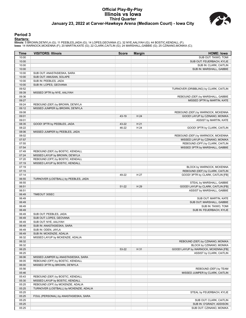#### **Official Play-By-Play Illinois vs Iowa Third Quarter January 23, 2022 at Carver-Hawkeye Arena (Mediacom Court) - Iowa City**



#### **Period 3**

#### **Starters:**

Illinois: 5 BROWN,DE'MYLA (G); 11 PEEBLES,JADA (G); 14 LOPES,GEOVANA (C); 32 NYE,AALIYAH (G); 44 BOSTIC,KENDALL (F);<br>Iowa: 14 WARNOCK,MCKENNA (F); 20 MARTIN,KATE (G); 22 CLARK,CAITLIN (G); 24 MARSHALL,GABBIE (G); 25 CZINAN

| Time  | <b>VISITORS: Illinois</b>               | <b>Score</b> | <b>Margin</b> | <b>HOME: Iowa</b>                      |
|-------|-----------------------------------------|--------------|---------------|----------------------------------------|
| 10:00 |                                         |              |               | SUB OUT: TAIWO, TOMI                   |
| 10:00 |                                         |              |               | SUB OUT: FEUERBACH, KYLIE              |
| 10:00 |                                         |              |               | SUB IN: CLARK, CAITLIN                 |
| 10:00 |                                         |              |               | SUB IN: MARSHALL, GABBIE               |
| 10:00 | SUB OUT: ANASTASIESKA, SARA             |              |               |                                        |
| 10:00 | SUB OUT: AMUSAN, SOLAPE                 |              |               |                                        |
| 10:00 | SUB IN: PEEBLES, JADA                   |              |               |                                        |
| 10:00 | SUB IN: LOPES, GEOVANA                  |              |               |                                        |
| 09:52 |                                         |              |               | TURNOVER (DRIBBLING) by CLARK, CAITLIN |
| 09:39 | MISSED 3PTR by NYE, AALIYAH             |              |               |                                        |
| 09:36 |                                         |              |               | REBOUND (DEF) by MARSHALL, GABBIE      |
| 09:27 |                                         |              |               | MISSED 3PTR by MARTIN, KATE            |
| 09:24 | REBOUND (DEF) by BROWN, DE'MYLA         |              |               |                                        |
| 09:12 | MISSED JUMPER by BROWN, DE'MYLA         |              |               |                                        |
| 09:08 |                                         |              |               | REBOUND (DEF) by WARNOCK, MCKENNA      |
| 09:01 |                                         | 43-19        | H 24          | GOOD! LAYUP by CZINANO, MONIKA         |
| 09:01 |                                         |              |               | ASSIST by MARTIN, KATE                 |
| 08:35 | GOOD! 3PTR by PEEBLES, JADA             | 43-22        | H 21          |                                        |
| 08:22 |                                         | 46-22        | H 24          | GOOD! 3PTR by CLARK, CAITLIN           |
| 08:06 | MISSED JUMPER by PEEBLES, JADA          |              |               |                                        |
| 08:02 |                                         |              |               | REBOUND (DEF) by WARNOCK, MCKENNA      |
| 07:57 |                                         |              |               | MISSED LAYUP by CZINANO, MONIKA        |
| 07:55 |                                         |              |               | REBOUND (OFF) by CLARK, CAITLIN        |
| 07:54 |                                         |              |               | MISSED 3PTR by MARSHALL, GABBIE        |
| 07:49 | REBOUND (DEF) by BOSTIC, KENDALL        |              |               |                                        |
| 07:24 | MISSED LAYUP by BROWN, DE'MYLA          |              |               |                                        |
| 07:20 | REBOUND (OFF) by BOSTIC, KENDALL        |              |               |                                        |
| 07:19 | MISSED LAYUP by BOSTIC, KENDALL         |              |               |                                        |
| 07:19 |                                         |              |               | BLOCK by WARNOCK, MCKENNA              |
| 07:15 |                                         |              |               | REBOUND (DEF) by CLARK, CAITLIN        |
| 07:14 |                                         | 49-22        | H 27          | GOOD! 3PTR by CLARK, CAITLIN [FB]      |
| 06:55 | TURNOVER (LOSTBALL) by PEEBLES, JADA    |              |               |                                        |
| 06:55 |                                         |              |               | STEAL by MARSHALL, GABBIE              |
| 06:51 |                                         | 51-22        | H 29          | GOOD! LAYUP by CLARK, CAITLIN [FB]     |
| 06:51 |                                         |              |               | ASSIST by MARSHALL, GABBIE             |
| 06:49 | TIMEOUT 30SEC                           |              |               |                                        |
| 06:49 |                                         |              |               | SUB OUT: MARTIN, KATE                  |
| 06:49 |                                         |              |               | SUB OUT: MARSHALL, GABBIE              |
| 06:49 |                                         |              |               | SUB IN: TAIWO, TOMI                    |
| 06:49 |                                         |              |               | SUB IN: FEUERBACH, KYLIE               |
| 06:49 | SUB OUT: PEEBLES, JADA                  |              |               |                                        |
| 06:49 | SUB OUT: LOPES, GEOVANA                 |              |               |                                        |
| 06:49 | SUB OUT: NYE, AALIYAH                   |              |               |                                        |
| 06:49 | SUB IN: ANASTASIESKA, SARA              |              |               |                                        |
| 06:49 | SUB IN: ODEN, JAYLA                     |              |               |                                        |
| 06:49 | SUB IN: MCKENZIE, ADALIA                |              |               |                                        |
| 06:32 | MISSED LAYUP by MCKENZIE, ADALIA        |              |               |                                        |
| 06:32 |                                         |              |               | REBOUND (DEF) by CZINANO, MONIKA       |
| 06:32 |                                         |              |               | BLOCK by CZINANO, MONIKA               |
| 06:25 |                                         | 53-22        | H 31          | GOOD! LAYUP by WARNOCK, MCKENNA [FB]   |
| 06:25 |                                         |              |               | ASSIST by CLARK, CAITLIN               |
| 06:06 | MISSED JUMPER by ANASTASIESKA, SARA     |              |               |                                        |
| 06:05 | REBOUND (OFF) by BOSTIC, KENDALL        |              |               |                                        |
| 06:00 | MISSED 3PTR by BROWN, DE'MYLA           |              |               |                                        |
| 05:56 |                                         |              |               | REBOUND (DEF) by TEAM                  |
| 05:46 |                                         |              |               | MISSED JUMPER by CLARK, CAITLIN        |
| 05:43 | REBOUND (DEF) by BOSTIC, KENDALL        |              |               |                                        |
| 05:30 | MISSED LAYUP by BOSTIC, KENDALL         |              |               |                                        |
| 05:25 | REBOUND (OFF) by MCKENZIE, ADALIA       |              |               |                                        |
| 05:25 | TURNOVER (LOSTBALL) by MCKENZIE, ADALIA |              |               |                                        |
| 05:25 |                                         |              |               | STEAL by FEUERBACH, KYLIE              |
| 05:25 | FOUL (PERSONAL) by ANASTASIESKA, SARA   |              |               |                                        |
| 05:25 |                                         |              |               | SUB OUT: CLARK, CAITLIN                |
| 05:25 |                                         |              |               | SUB IN: O'GRADY, ADDISON               |
| 05:25 |                                         |              |               | SUB OUT: CZINANO, MONIKA               |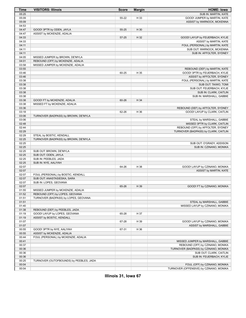| <b>Time</b>    | <b>VISITORS: Illinois</b>                     | <b>Score</b> | <b>Margin</b> | <b>HOME: lowa</b>                                               |
|----------------|-----------------------------------------------|--------------|---------------|-----------------------------------------------------------------|
| 05:25          |                                               |              |               | SUB IN: MARTIN, KATE                                            |
| 05:09          |                                               | 55-22        | H 33          | GOOD! JUMPER by MARTIN, KATE                                    |
| 05:09          |                                               |              |               | ASSIST by WARNOCK, MCKENNA                                      |
| 04:53          |                                               |              |               |                                                                 |
| 04:47          | GOOD! 3PTR by ODEN, JAYLA                     | 55-25        | H 30          |                                                                 |
| 04:47          | ASSIST by MCKENZIE, ADALIA                    |              |               |                                                                 |
| 04:33          |                                               | 57-25        | H 32          | GOOD! LAYUP by FEUERBACH, KYLIE                                 |
| 04:33          |                                               |              |               | ASSIST by MARTIN, KATE                                          |
| 04:11          |                                               |              |               | FOUL (PERSONAL) by MARTIN, KATE                                 |
| 04:11          |                                               |              |               | SUB OUT: WARNOCK, MCKENNA                                       |
| 04:11          |                                               |              |               | SUB IN: AFFOLTER, SYDNEY                                        |
| 04:05          | MISSED JUMPER by BROWN, DE'MYLA               |              |               |                                                                 |
| 04:01          | REBOUND (OFF) by MCKENZIE, ADALIA             |              |               |                                                                 |
| 03:58<br>03:55 | MISSED JUMPER by MCKENZIE, ADALIA             |              |               |                                                                 |
| 03:46          |                                               | 60-25        | H 35          | REBOUND (DEF) by MARTIN, KATE<br>GOOD! 3PTR by FEUERBACH, KYLIE |
| 03:46          |                                               |              |               | ASSIST by AFFOLTER, SYDNEY                                      |
| 03:38          |                                               |              |               | FOUL (PERSONAL) by MARTIN, KATE                                 |
| 03:38          |                                               |              |               | SUB OUT: TAIWO, TOMI                                            |
| 03:38          |                                               |              |               | SUB OUT: FEUERBACH, KYLIE                                       |
| 03:38          |                                               |              |               | SUB IN: CLARK, CAITLIN                                          |
| 03:38          |                                               |              |               | SUB IN: MARSHALL, GABBIE                                        |
| 03:38          | GOOD! FT by MCKENZIE, ADALIA                  | 60-26        | H 34          |                                                                 |
| 03:38          | MISSED FT by MCKENZIE, ADALIA                 |              |               |                                                                 |
| 03:36          |                                               |              |               | REBOUND (DEF) by AFFOLTER, SYDNEY                               |
| 03:18          |                                               | 62-26        | H 36          | GOOD! LAYUP by CLARK, CAITLIN                                   |
| 03:06          | TURNOVER (BADPASS) by BROWN, DE'MYLA          |              |               |                                                                 |
| 03:06          |                                               |              |               | STEAL by MARSHALL, GABBIE                                       |
| 02:48          |                                               |              |               | MISSED 3PTR by CLARK, CAITLIN                                   |
| 02:44          |                                               |              |               | REBOUND (OFF) by AFFOLTER, SYDNEY                               |
| 02:29          |                                               |              |               | TURNOVER (BADPASS) by CLARK, CAITLIN                            |
| 02:29          | STEAL by BOSTIC, KENDALL                      |              |               |                                                                 |
| 02:25          | TURNOVER (BADPASS) by BROWN, DE'MYLA          |              |               |                                                                 |
| 02:25          |                                               |              |               | SUB OUT: O'GRADY, ADDISON                                       |
| 02:25          |                                               |              |               | SUB IN: CZINANO, MONIKA                                         |
| 02:25          | SUB OUT: BROWN, DE'MYLA                       |              |               |                                                                 |
| 02:25<br>02:25 | SUB OUT: ODEN, JAYLA<br>SUB IN: PEEBLES, JADA |              |               |                                                                 |
| 02:25          | SUB IN: NYE, AALIYAH                          |              |               |                                                                 |
| 02:07          |                                               | 64-26        | H 38          | GOOD! LAYUP by CZINANO, MONIKA                                  |
| 02:07          |                                               |              |               | ASSIST by MARTIN, KATE                                          |
| 02:07          | FOUL (PERSONAL) by BOSTIC, KENDALL            |              |               |                                                                 |
| 02:07          | SUB OUT: ANASTASIESKA, SARA                   |              |               |                                                                 |
| 02:07          | SUB IN: LOPES, GEOVANA                        |              |               |                                                                 |
| 02:07          |                                               | 65-26        | H 39          | GOOD! FT by CZINANO, MONIKA                                     |
| 01:55          | MISSED JUMPER by MCKENZIE, ADALIA             |              |               |                                                                 |
| 01:52          | REBOUND (OFF) by LOPES, GEOVANA               |              |               |                                                                 |
| 01:51          | TURNOVER (BADPASS) by LOPES, GEOVANA          |              |               |                                                                 |
| 01:51          |                                               |              |               | STEAL by MARSHALL, GABBIE                                       |
| 01:40          |                                               |              |               | MISSED LAYUP by CZINANO, MONIKA                                 |
| 01:38          | REBOUND (DEF) by PEEBLES, JADA                |              |               |                                                                 |
| 01:19          | GOOD! LAYUP by LOPES, GEOVANA                 | 65-28        | H 37          |                                                                 |
| 01:19          | ASSIST by BOSTIC, KENDALL                     |              |               |                                                                 |
| 01:07          |                                               | 67-28        | H 39          | GOOD! LAYUP by CZINANO, MONIKA                                  |
| 01:07          |                                               |              |               | ASSIST by MARSHALL, GABBIE                                      |
| 00:55          | GOOD! 3PTR by NYE, AALIYAH                    | 67-31        | H 36          |                                                                 |
| 00:55          | ASSIST by MCKENZIE, ADALIA                    |              |               |                                                                 |
| 00:44<br>00:41 | FOUL (PERSONAL) by MCKENZIE, ADALIA           |              |               | MISSED JUMPER by MARSHALL, GABBIE                               |
| 00:37          |                                               |              |               | REBOUND (OFF) by CZINANO, MONIKA                                |
| 00:36          |                                               |              |               | TURNOVER (BADPASS) by CZINANO, MONIKA                           |
| 00:36          |                                               |              |               | SUB OUT: CLARK, CAITLIN                                         |
| 00:36          |                                               |              |               | SUB IN: FEUERBACH, KYLIE                                        |
| 00:25          | TURNOVER (OUTOFBOUNDS) by PEEBLES, JADA       |              |               |                                                                 |
| 00:04          |                                               |              |               | FOUL (OFF) by CZINANO, MONIKA                                   |
| 00:04          |                                               |              |               | TURNOVER (OFFENSIVE) by CZINANO, MONIKA                         |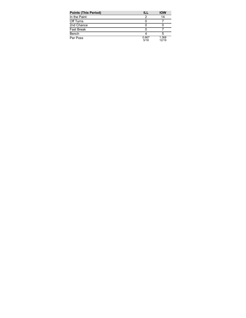| <b>Points (This Period)</b> | ill           | <b>IOW</b>     |
|-----------------------------|---------------|----------------|
| In the Paint                |               | 14             |
| Off Turns                   |               |                |
| 2nd Chance                  |               |                |
| <b>Fast Break</b>           |               |                |
| Bench                       |               |                |
| Per Poss                    | 0.667<br>5/18 | 1.368<br>12/19 |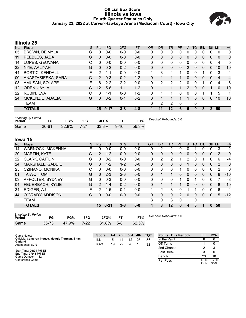#### **Official Box Score Illinois vs Iowa Fourth Quarter Statistics Only January 23, 2022 at Carver-Hawkeye Arena (Mediacom Court) - Iowa City**



## **Illinois 25**

| No.               | Player                 | S | Pts      | FG      | 3FG     | <b>FT</b> | <b>OR</b> | <b>DR</b>    | TR | PF | A             | TO       | <b>Blk</b> | <b>Stl</b>   | Min          | $+/-$          |
|-------------------|------------------------|---|----------|---------|---------|-----------|-----------|--------------|----|----|---------------|----------|------------|--------------|--------------|----------------|
| 05                | <b>BROWN, DE'MYLA</b>  | G | 0        | $0-0$   | $0 - 0$ | $0-0$     | 0         | 0            | 0  | 0  | 0             | 0        | 0          | 0            | 0            | 0              |
| 11                | PEEBLES, JADA          | G | 0        | $0 - 0$ | $0 - 0$ | $0 - 0$   | $\Omega$  | 0            | 0  | 0  | $\mathbf{0}$  | 0        | 0          | $\mathbf{0}$ | $\mathbf{0}$ | 0              |
| 14                | LOPES, GEOVANA         | C | 0        | $0 - 0$ | $0 - 0$ | $0 - 0$   | $\Omega$  | 0            | 0  | 0  | 0             | 0        | 0          | 0            | 4            | 5              |
| 32                | NYE, AALIYAH           | G | $\Omega$ | $0 - 2$ | $0 - 2$ | $0 - 0$   | $\Omega$  | $\mathbf{0}$ | 0  | 0  | 2             | 0        | 0          | $\Omega$     | 10           | 10             |
| 44                | <b>BOSTIC, KENDALL</b> | F | 2        | 1-1     | $0 - 0$ | $0 - 0$   | 1         | 3            | 4  |    | 0             | 0        | 1          | 0            | 3            | 4              |
| 00                | ANASTASIESKA, SARA     | G | 2        | $0 - 3$ | $0 - 2$ | $2 - 2$   | $\Omega$  |              |    |    | $\mathbf{0}$  | 0        | 0          | $\mathbf{0}$ | 4            | $\overline{4}$ |
| 03                | AMUSAN, SOLAPE         | F | 6        | $2 - 2$ | $2 - 2$ | $0 - 0$   | $\Omega$  | 2            | 2  | 2  | 0             | 0        |            | 0            | 4            | 6              |
| $12 \overline{ }$ | ODEN, JAYLA            | G | 12       | $5-6$   | $1 - 1$ | $1 - 2$   | $\Omega$  |              |    | 1  | $\mathcal{P}$ | $\Omega$ | 0          |              | 10           | 10             |
| 22                | RUBIN, EVA             | C | 3        | 1-1     | $0 - 0$ | $1 - 2$   | $\Omega$  | 1            | 1  | 0  | $\Omega$      | 0        |            |              | 5            | 1              |
| 24                | MCKENZIE, ADALIA       | G | 0        | $0 - 2$ | $0 - 1$ | $0 - 2$   | $\Omega$  |              |    |    |               | 0        | 0          | $\Omega$     | 10           | 10             |
|                   | <b>TEAM</b>            |   |          |         |         |           | $\Omega$  | 2            | 2  | 0  |               | 0        |            |              |              |                |
|                   | <b>TOTALS</b>          |   | 25       | 9-17    | $3 - 8$ | $4 - 8$   |           | 11           | 12 | 6  | 5             | 0        | 3          | $\mathbf{2}$ | 50           |                |
|                   |                        |   |          |         |         |           |           |              |    |    |               |          |            |              |              |                |

| <b>Shooting By Period</b><br>Period | FG        | FG%   | 3FG  | 3FG%  | FТ       | FT%   | Deadball Rebounds: 5,0 |
|-------------------------------------|-----------|-------|------|-------|----------|-------|------------------------|
| Game                                | $20 - 61$ | 32.8% | 7-21 | 33.3% | $9 - 16$ | 56.3% |                        |

## **Iowa 15**

| No. | Plaver                  | S | <b>Pts</b>     | <b>FG</b> | 3FG     | <b>FT</b> | <b>OR</b>    | <b>DR</b> | TR       | <b>PF</b>    | A | TO       | <b>BIK</b> | Stl          | Min            | $+/-$        |
|-----|-------------------------|---|----------------|-----------|---------|-----------|--------------|-----------|----------|--------------|---|----------|------------|--------------|----------------|--------------|
| 14  | <b>WARNOCK, MCKENNA</b> | F | 0              | $0-0$     | $0 - 0$ | $0-0$     | 0            | 2         | 2        | 0            | 0 |          | 0          | 0            | 3              | $-2$         |
| 20  | <b>MARTIN, KATE</b>     | G | $\overline{2}$ | $1 - 2$   | $0 - 0$ | $0 - 0$   | $\mathbf{0}$ | $\Omega$  | 0        | 0            | 0 | 0        | 0          | 0            | 2              | $\mathbf{0}$ |
| 22  | CLARK, CAITLIN          | G | 0              | $0 - 2$   | $0 - 0$ | $0 - 0$   | 0            | 2         | 2        |              | 2 | $\Omega$ | 4          | 0            | 6              | -4           |
| 24  | MARSHALL, GABBIE        | G | 3              | $1 - 2$   | $1 - 2$ | $0 - 0$   | $\Omega$     | $\Omega$  | $\Omega$ | $\Omega$     |   | $\Omega$ | $\Omega$   | $\mathbf{0}$ | 2              | $\Omega$     |
| 25  | CZINANO, MONIKA         | С | 0              | $0 - 0$   | $0 - 0$ | $0 - 0$   | $\Omega$     | $\Omega$  | 0        |              | 0 | 0        | 0          | 0            | $\overline{2}$ | $\mathbf 0$  |
| 01  | TAIWO, TOMI             | G | 6              | $2 - 3$   | $2 - 3$ | $0 - 0$   | $\Omega$     |           |          | 0            | 0 | $\Omega$ | $\Omega$   | $\mathbf{0}$ | 8              | $-10$        |
| 03  | AFFOLTER, SYDNEY        | G | 0              | $0 - 3$   | $0 - 0$ | $0 - 0$   | $\Omega$     | 0         | 0        |              | 0 |          | 0          | 0            | 7              | -8           |
| 04  | FEUERBACH, KYLIE        | G | $\mathcal{P}$  | $1 - 4$   | $0 - 2$ | $0 - 0$   | $\Omega$     |           |          |              | 0 | $\Omega$ | $\Omega$   | $\Omega$     | 8              | $-10$        |
| 34  | EDIGER, AJ              | F | 2              | $1-5$     | $0 - 1$ | $0 - 0$   | 1            | 2         | 3        | 0            |   |          | 0          | $\Omega$     | 6              | -4           |
| 44  | O'GRADY, ADDISON        | С | 0              | $0 - 0$   | $0 - 0$ | $0 - 0$   | $\mathbf{0}$ | $\Omega$  | 0        | 2            | 0 | 0        | $\Omega$   | $\mathbf{0}$ | 5              | $-12$        |
|     | <b>TEAM</b>             |   |                |           |         |           | 3            | 0         | 3        | $\mathbf{0}$ |   | 0        |            |              |                |              |
|     | <b>TOTALS</b>           |   | 15             | $6 - 21$  | $3 - 8$ | $0 - 0$   | 4            | 8         | 12       | 6            | 4 | 3        | 1          | $\Omega$     | 50             |              |
|     |                         |   |                |           |         |           |              |           |          |              |   |          |            |              |                |              |

| <b>Shooting By Period</b><br>Period | FG    | FG%   | 3FG    | 3FG%  |       | FT%   |
|-------------------------------------|-------|-------|--------|-------|-------|-------|
| Game                                | 35-73 | 47.9% | $7-22$ | 31.8% | $5-8$ | 62.5% |

*Deadball Rebounds:* 1,0

| Game Notes:                                                 | <b>Score</b> |    | 1st 2nd 3rd 4th |    |    | тот | <b>Points (This Period)</b> | ILL           | <b>IOW</b>    |
|-------------------------------------------------------------|--------------|----|-----------------|----|----|-----|-----------------------------|---------------|---------------|
| Officials: Cameron Inouye, Maggie Tierman, Brian<br>Garland | ILL          | -5 | 14              | 12 | 25 | 56  | In the Paint                |               |               |
| Attendance: 8977                                            | <b>IOW</b>   | 19 | 22              | 26 | 15 | 82  | Off Turns                   |               |               |
|                                                             |              |    |                 |    |    |     | 2nd Chance                  |               |               |
| Start Time: 06:01 PM ET<br>End Time: 07:43 PM ET            |              |    |                 |    |    |     | <b>Fast Break</b>           |               |               |
| Game Duration: 1:42                                         |              |    |                 |    |    |     | Bench                       | 23            | 10            |
| Conference Game:                                            |              |    |                 |    |    |     | Per Poss                    | .316<br>11/19 | 0.750<br>6/20 |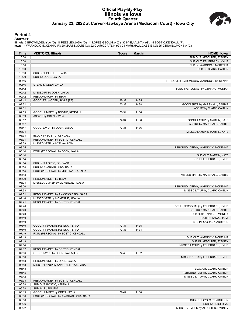#### **Official Play-By-Play Illinois vs Iowa Fourth Quarter January 23, 2022 at Carver-Hawkeye Arena (Mediacom Court) - Iowa City**



#### **Period 4**

#### **Starters:**

Illinois: 5 BROWN,DE'MYLA (G); 11 PEEBLES,JADA (G); 14 LOPES,GEOVANA (C); 32 NYE,AALIYAH (G); 44 BOSTIC,KENDALL (F);<br>Iowa: 14 WARNOCK,MCKENNA (F); 20 MARTIN,KATE (G); 22 CLARK,CAITLIN (G); 24 MARSHALL,GABBIE (G); 25 CZINAN

| Time  | <b>VISITORS: Illinois</b>             | <b>Score</b> | <b>Margin</b> | <b>HOME: Iowa</b>                      |
|-------|---------------------------------------|--------------|---------------|----------------------------------------|
| 10:00 |                                       |              |               | SUB OUT: AFFOLTER, SYDNEY              |
| 10:00 |                                       |              |               | SUB OUT: FEUERBACH, KYLIE              |
| 10:00 |                                       |              |               | SUB IN: WARNOCK, MCKENNA               |
| 10:00 |                                       |              |               | SUB IN: CLARK, CAITLIN                 |
| 10:00 | SUB OUT: PEEBLES, JADA                |              |               |                                        |
| 10:00 | SUB IN: ODEN, JAYLA                   |              |               |                                        |
| 09:46 |                                       |              |               | TURNOVER (BADPASS) by WARNOCK, MCKENNA |
| 09:46 | STEAL by ODEN, JAYLA                  |              |               |                                        |
| 09:42 |                                       |              |               | FOUL (PERSONAL) by CZINANO, MONIKA     |
| 09:42 | MISSED FT by ODEN, JAYLA              |              |               |                                        |
| 09:42 | REBOUND (OFF) by TEAM                 |              |               |                                        |
| 09:42 | GOOD! FT by ODEN, JAYLA [FB]          | 67-32        | H 35          |                                        |
| 09:31 |                                       | 70-32        | H 38          | GOOD! 3PTR by MARSHALL, GABBIE         |
| 09:31 |                                       |              |               | ASSIST by CLARK, CAITLIN               |
| 09:09 | GOOD! JUMPER by BOSTIC, KENDALL       | 70-34        | H 36          |                                        |
| 09:09 | ASSIST by ODEN, JAYLA                 |              |               |                                        |
| 08:57 |                                       | 72-34        | H 38          | GOOD! LAYUP by MARTIN, KATE            |
| 08:57 |                                       |              |               | ASSIST by MARSHALL, GABBIE             |
| 08:47 | GOOD! LAYUP by ODEN, JAYLA            | 72-36        | H 36          |                                        |
| 08:34 |                                       |              |               | MISSED LAYUP by MARTIN, KATE           |
| 08:34 | BLOCK by BOSTIC, KENDALL              |              |               |                                        |
| 08:31 | REBOUND (DEF) by BOSTIC, KENDALL      |              |               |                                        |
| 08:29 | MISSED 3PTR by NYE, AALIYAH           |              |               |                                        |
| 08:25 |                                       |              |               | REBOUND (DEF) by WARNOCK, MCKENNA      |
| 08:14 | FOUL (PERSONAL) by ODEN, JAYLA        |              |               |                                        |
| 08:14 |                                       |              |               | SUB OUT: MARTIN, KATE                  |
| 08:14 |                                       |              |               | SUB IN: FEUERBACH, KYLIE               |
| 08:14 | SUB OUT: LOPES, GEOVANA               |              |               |                                        |
| 08:14 | SUB IN: ANASTASIESKA, SARA            |              |               |                                        |
| 08:14 | FOUL (PERSONAL) by MCKENZIE, ADALIA   |              |               |                                        |
| 08:13 |                                       |              |               | MISSED 3PTR by MARSHALL, GABBIE        |
| 08:09 | REBOUND (DEF) by TEAM                 |              |               |                                        |
| 08:04 | MISSED JUMPER by MCKENZIE, ADALIA     |              |               |                                        |
| 08:00 |                                       |              |               | REBOUND (DEF) by WARNOCK, MCKENNA      |
| 07:53 |                                       |              |               | MISSED LAYUP by CLARK, CAITLIN         |
| 07:51 | REBOUND (DEF) by ANASTASIESKA, SARA   |              |               |                                        |
| 07:46 | MISSED 3PTR by MCKENZIE, ADALIA       |              |               |                                        |
| 07:41 | REBOUND (OFF) by BOSTIC, KENDALL      |              |               |                                        |
| 07:40 |                                       |              |               | FOUL (PERSONAL) by FEUERBACH, KYLIE    |
| 07:40 |                                       |              |               | SUB OUT: MARSHALL, GABBIE              |
| 07:40 |                                       |              |               | SUB OUT: CZINANO, MONIKA               |
| 07:40 |                                       |              |               | SUB IN: TAIWO, TOMI                    |
| 07:40 |                                       |              |               | SUB IN: O'GRADY, ADDISON               |
| 07:40 | GOOD! FT by ANASTASIESKA, SARA        | 72-37        | H 35          |                                        |
| 07:40 | GOOD! FT by ANASTASIESKA, SARA        | 72-38        | H 34          |                                        |
| 07:19 | FOUL (PERSONAL) by BOSTIC, KENDALL    |              |               |                                        |
| 07:19 |                                       |              |               | SUB OUT: WARNOCK, MCKENNA              |
| 07:19 |                                       |              |               | SUB IN: AFFOLTER, SYDNEY               |
| 07:14 |                                       |              |               | MISSED LAYUP by FEUERBACH, KYLIE       |
| 07:12 | REBOUND (DEF) by BOSTIC, KENDALL      |              |               |                                        |
| 07:06 | GOOD! LAYUP by ODEN, JAYLA [FB]       | 72-40        | H 32          |                                        |
| 06:56 |                                       |              |               | MISSED 3PTR by FEUERBACH, KYLIE        |
| 06:53 | REBOUND (DEF) by ODEN, JAYLA          |              |               |                                        |
| 06:48 | MISSED LAYUP by ANASTASIESKA, SARA    |              |               |                                        |
| 06:48 |                                       |              |               | BLOCK by CLARK, CAITLIN                |
| 06:45 |                                       |              |               | REBOUND (DEF) by CLARK, CAITLIN        |
| 06:42 |                                       |              |               | MISSED LAYUP by CLARK, CAITLIN         |
| 06:38 | REBOUND (DEF) by BOSTIC, KENDALL      |              |               |                                        |
| 06:38 | SUB OUT: BOSTIC, KENDALL              |              |               |                                        |
| 06:38 | SUB IN: RUBIN, EVA                    |              |               |                                        |
| 06:19 | GOOD! JUMPER by ODEN, JAYLA           | 72-42        | H 30          |                                        |
| 06:06 | FOUL (PERSONAL) by ANASTASIESKA, SARA |              |               |                                        |
| 06:06 |                                       |              |               | SUB OUT: O'GRADY, ADDISON              |
| 06:06 |                                       |              |               | SUB IN: EDIGER, AJ                     |
| 06:02 |                                       |              |               | MISSED JUMPER by AFFOLTER, SYDNEY      |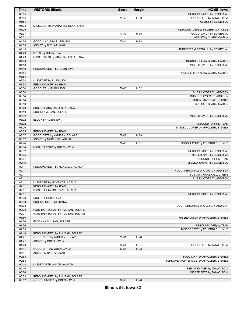| Time           | <b>VISITORS: Illinois</b>         | <b>Score</b> | <b>Margin</b> | <b>HOME: Iowa</b>                        |
|----------------|-----------------------------------|--------------|---------------|------------------------------------------|
| 05:55          |                                   |              |               | REBOUND (OFF) by EDIGER, AJ              |
| 05:54          |                                   | 75-42        | H 33          | GOOD! 3PTR by TAIWO, TOMI                |
| 05:54          |                                   |              |               | ASSIST by EDIGER, AJ                     |
| 05:33          | MISSED 3PTR by ANASTASIESKA, SARA |              |               |                                          |
| 05:29          |                                   |              |               | REBOUND (DEF) by FEUERBACH, KYLIE        |
| 05:21          |                                   | 77-42        | H 35          | GOOD! LAYUP by EDIGER, AJ                |
| 05:21          |                                   |              |               | ASSIST by CLARK, CAITLIN                 |
| 04:59          | GOOD! LAYUP by RUBIN, EVA         | 77-44        | H 33          |                                          |
| 04:59          | ASSIST by NYE, AALIYAH            |              |               |                                          |
| 04:49          |                                   |              |               | TURNOVER (LOSTBALL) by EDIGER, AJ        |
| 04:49          | STEAL by RUBIN, EVA               |              |               |                                          |
| 04:29          | MISSED 3PTR by ANASTASIESKA, SARA |              |               |                                          |
| 04:23          |                                   |              |               | REBOUND (DEF) by CLARK, CAITLIN          |
| 04:13          |                                   |              |               | MISSED LAYUP by EDIGER, AJ               |
| 04:10<br>03:54 | REBOUND (DEF) by RUBIN, EVA       |              |               |                                          |
| 03:54          |                                   |              |               | FOUL (PERSONAL) by CLARK, CAITLIN        |
| 03:54          | MISSED FT by RUBIN, EVA           |              |               |                                          |
| 03:54          | REBOUND (OFF) by TEAM             |              |               |                                          |
| 03:54          | GOOD! FT by RUBIN, EVA            | 77-45        | H 32          |                                          |
| 03:54          |                                   |              |               | SUB IN: O'GRADY, ADDISON                 |
| 03:54          |                                   |              |               | SUB OUT: O'GRADY, ADDISON                |
| 03:54          |                                   |              |               | SUB IN: MARSHALL, GABBIE                 |
| 03:50          |                                   |              |               | SUB OUT: CLARK, CAITLIN                  |
| 03:40          | SUB OUT: ANASTASIESKA, SARA       |              |               |                                          |
| 03:40          | SUB IN: AMUSAN, SOLAPE            |              |               |                                          |
| 03:32          |                                   |              |               | MISSED LAYUP by EDIGER, AJ               |
| 03:32          | BLOCK by RUBIN, EVA               |              |               |                                          |
| 03:32          |                                   |              |               | REBOUND (OFF) by TEAM                    |
| 03:26          |                                   |              |               | MISSED JUMPER by AFFOLTER, SYDNEY        |
| 03:25          | REBOUND (DEF) by TEAM             |              |               |                                          |
| 03:07          | GOOD! 3PTR by AMUSAN, SOLAPE      | 77-48        | H 29          |                                          |
| 03:07          | ASSIST by MCKENZIE, ADALIA        |              |               |                                          |
| 02:44          |                                   | 79-48        | H 31          | GOOD! LAYUP by FEUERBACH, KYLIE          |
| 02:34          | MISSED LAYUP by ODEN, JAYLA       |              |               |                                          |
| 02:32          |                                   |              |               | REBOUND (DEF) by EDIGER, AJ              |
| 02:25          |                                   |              |               | MISSED 3PTR by EDIGER, AJ                |
| 02:21          |                                   |              |               | REBOUND (OFF) by TEAM                    |
| 02:16          |                                   |              |               | MISSED JUMPER by EDIGER, AJ              |
| 02:11          | REBOUND (DEF) by MCKENZIE, ADALIA |              |               |                                          |
| 02:11          |                                   |              |               | FOUL (PERSONAL) by O'GRADY, ADDISON      |
| 02:11          |                                   |              |               | SUB OUT: MARSHALL, GABBIE                |
| 02:11          |                                   |              |               | SUB IN: O'GRADY, ADDISON                 |
| 02:11          | MISSED FT by MCKENZIE, ADALIA     |              |               |                                          |
| 02:11          | REBOUND (OFF) by TEAM             |              |               |                                          |
| 02:11          | MISSED FT by MCKENZIE, ADALIA     |              |               |                                          |
| 02:11          |                                   |              |               | REBOUND (DEF) by EDIGER, AJ              |
| 02:08          | SUB OUT: RUBIN, EVA               |              |               |                                          |
| 02:08          | SUB IN: LOPES, GEOVANA            |              |               |                                          |
| 02:08          |                                   |              |               | FOUL (PERSONAL) by O'GRADY, ADDISON      |
| 02:08          | FOUL (PERSONAL) by AMUSAN, SOLAPE |              |               |                                          |
| 02:07<br>01:56 | FOUL (PERSONAL) by AMUSAN, SOLAPE |              |               |                                          |
| 01:56          | BLOCK by AMUSAN, SOLAPE           |              |               | MISSED LAYUP by AFFOLTER, SYDNEY         |
| 01:56          |                                   |              |               | REBOUND (OFF) by TEAM                    |
| 01:53          |                                   |              |               | MISSED 3PTR by FEUERBACH, KYLIE          |
| 01:48          | REBOUND (DEF) by AMUSAN, SOLAPE   |              |               |                                          |
| 01:41          | GOOD! 3PTR by AMUSAN, SOLAPE      | 79-51        | H 28          |                                          |
| 01:41          | ASSIST by ODEN, JAYLA             |              |               |                                          |
| 01:23          |                                   | 82-51        | H 31          | GOOD! 3PTR by TAIWO, TOMI                |
| 01:11          | GOOD! 3PTR by ODEN, JAYLA         | 82-54        | H 28          |                                          |
| 01:11          | ASSIST by NYE, AALIYAH            |              |               |                                          |
| 00:58          |                                   |              |               | FOUL (OFF) by AFFOLTER, SYDNEY           |
| 00:58          |                                   |              |               | TURNOVER (OFFENSIVE) by AFFOLTER, SYDNEY |
| 00:44          | MISSED 3PTR by NYE, AALIYAH       |              |               |                                          |
| 00:40          |                                   |              |               | REBOUND (DEF) by TAIWO, TOMI             |
| 00:26          |                                   |              |               | MISSED 3PTR by TAIWO, TOMI               |
| 00:23          | REBOUND (DEF) by AMUSAN, SOLAPE   |              |               |                                          |
| 00:17          | GOOD! JUMPER by ODEN, JAYLA       | 82-56        | H 26          |                                          |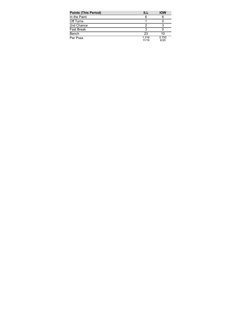| <b>Points (This Period)</b> | ILL            | <b>IOW</b>    |
|-----------------------------|----------------|---------------|
| In the Paint                | 6              | 6             |
| Off Turns                   |                |               |
| 2nd Chance                  | 2              |               |
| <b>Fast Break</b>           | 3              |               |
| Bench                       | 23             | 10            |
| Per Poss                    | 1.316<br>11/19 | 0.750<br>6/20 |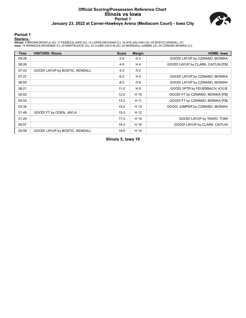#### **Official Scoring/Possession Reference Chart Illinois vs Iowa Period 1 January 23, 2022 at Carver-Hawkeye Arena (Mediacom Court) - Iowa City**



#### **Period 1**

#### **Starters:**

Illinois: 5 BROWN,DE'MYLA (G); 11 PEEBLES,JADA (G); 14 LOPES,GEOVANA (C); 32 NYE,AALIYAH (G); 44 BOSTIC,KENDALL (F);<br>Iowa: 14 WARNOCK,MCKENNA (F); 20 MARTIN,KATE (G); 22 CLARK,CAITLIN (G); 24 MARSHALL,GABBIE (G); 25 CZINAN

| <b>Time</b> | <b>VISITORS: Illinois</b>      | <b>Score</b> | <b>Margin</b>  | <b>HOME: Iowa</b>                  |
|-------------|--------------------------------|--------------|----------------|------------------------------------|
| 09:28       |                                | $2 - 0$      | H <sub>2</sub> | GOOD! LAYUP by CZINANO, MONIKA     |
| 08:26       |                                | $4 - 0$      | H 4            | GOOD! LAYUP by CLARK, CAITLIN [FB] |
| 07:43       | GOOD! LAYUP by BOSTIC, KENDALL | $4 - 2$      | H <sub>2</sub> |                                    |
| 07:27       |                                | $6 - 2$      | H <sub>4</sub> | GOOD! LAYUP by CZINANO, MONIKA     |
| 06:50       |                                | $8-2$        | H 6            | GOOD! LAYUP by CZINANO, MONIKA     |
| 06:21       |                                | $11 - 2$     | H9             | GOOD! 3PTR by FEUERBACH, KYLIE     |
| 05:52       |                                | $12 - 2$     | H 10           | GOOD! FT by CZINANO, MONIKA [FB]   |
| 05:52       |                                | $13 - 2$     | H 11           | GOOD! FT by CZINANO, MONIKA [FB]   |
| 02:35       |                                | $15-2$       | H 13           | GOOD! JUMPER by CZINANO, MONIKA    |
| 01:48       | GOOD! FT by ODEN, JAYLA        | $15-3$       | H 12           |                                    |
| 01:25       |                                | $17-3$       | H 14           | GOOD! LAYUP by TAIWO, TOMI         |
| 00:57       |                                | $19-3$       | H 16           | GOOD! LAYUP by CLARK, CAITLIN      |
| 00:08       | GOOD! LAYUP by BOSTIC, KENDALL | $19-5$       | H 14           |                                    |

**Illinois 5, Iowa 19**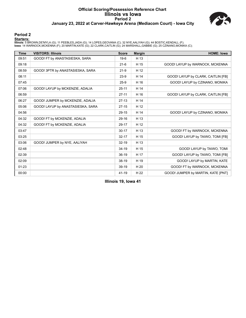#### **Official Scoring/Possession Reference Chart Illinois vs Iowa Period 2 January 23, 2022 at Carver-Hawkeye Arena (Mediacom Court) - Iowa City**



#### **Period 2**

#### **Starters:**

Illinois: 5 BROWN,DE'MYLA (G); 11 PEEBLES,JADA (G); 14 LOPES,GEOVANA (C); 32 NYE,AALIYAH (G); 44 BOSTIC,KENDALL (F);<br>Iowa: 14 WARNOCK,MCKENNA (F); 20 MARTIN,KATE (G); 22 CLARK,CAITLIN (G); 24 MARSHALL,GABBIE (G); 25 CZINAN

| <b>Time</b> | <b>VISITORS: Illinois</b>         | <b>Score</b> | <b>Margin</b> | <b>HOME: Iowa</b>                  |
|-------------|-----------------------------------|--------------|---------------|------------------------------------|
| 09:51       | GOOD! FT by ANASTASIESKA, SARA    | $19-6$       | H 13          |                                    |
| 09:18       |                                   | $21-6$       | H 15          | GOOD! LAYUP by WARNOCK, MCKENNA    |
| 08:59       | GOOD! 3PTR by ANASTASIESKA, SARA  | $21-9$       | H 12          |                                    |
| 08:11       |                                   | $23-9$       | H 14          | GOOD! LAYUP by CLARK, CAITLIN [FB] |
| 07:45       |                                   | $25-9$       | H 16          | GOOD! LAYUP by CZINANO, MONIKA     |
| 07:06       | GOOD! LAYUP by MCKENZIE, ADALIA   | $25 - 11$    | H 14          |                                    |
| 06:59       |                                   | $27 - 11$    | H 16          | GOOD! LAYUP by CLARK, CAITLIN [FB] |
| 06:27       | GOOD! JUMPER by MCKENZIE, ADALIA  | $27-13$      | H 14          |                                    |
| 05:06       | GOOD! LAYUP by ANASTASIESKA, SARA | $27 - 15$    | H 12          |                                    |
| 04:56       |                                   | 29-15        | H 14          | GOOD! LAYUP by CZINANO, MONIKA     |
| 04:32       | GOOD! FT by MCKENZIE, ADALIA      | 29-16        | H 13          |                                    |
| 04:32       | GOOD! FT by MCKENZIE, ADALIA      | 29-17        | H 12          |                                    |
| 03:47       |                                   | $30 - 17$    | H 13          | GOOD! FT by WARNOCK, MCKENNA       |
| 03:25       |                                   | $32 - 17$    | H 15          | GOOD! LAYUP by TAIWO, TOMI [FB]    |
| 03:06       | GOOD! JUMPER by NYE, AALIYAH      | $32 - 19$    | H 13          |                                    |
| 02:48       |                                   | 34-19        | H 15          | GOOD! LAYUP by TAIWO, TOMI         |
| 02:39       |                                   | $36-19$      | H 17          | GOOD! LAYUP by TAIWO, TOMI [FB]    |
| 02:09       |                                   | 38-19        | H 19          | GOOD! LAYUP by MARTIN, KATE        |
| 01:23       |                                   | 39-19        | H 20          | GOOD! FT by WARNOCK, MCKENNA       |
| 00:00       |                                   | 41-19        | H 22          | GOOD! JUMPER by MARTIN, KATE [PNT] |

**Illinois 19, Iowa 41**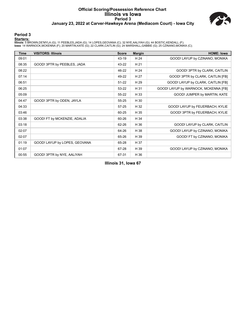#### **Official Scoring/Possession Reference Chart Illinois vs Iowa Period 3 January 23, 2022 at Carver-Hawkeye Arena (Mediacom Court) - Iowa City**



#### **Period 3**

#### **Starters:**

Illinois: 5 BROWN,DE'MYLA (G); 11 PEEBLES,JADA (G); 14 LOPES,GEOVANA (C); 32 NYE,AALIYAH (G); 44 BOSTIC,KENDALL (F);<br>Iowa: 14 WARNOCK,MCKENNA (F); 20 MARTIN,KATE (G); 22 CLARK,CAITLIN (G); 24 MARSHALL,GABBIE (G); 25 CZINAN

| <b>Time</b> | <b>VISITORS: Illinois</b>     | <b>Score</b> | <b>Margin</b> | <b>HOME: Iowa</b>                    |
|-------------|-------------------------------|--------------|---------------|--------------------------------------|
| 09:01       |                               | 43-19        | H 24          | GOOD! LAYUP by CZINANO, MONIKA       |
| 08:35       | GOOD! 3PTR by PEEBLES, JADA   | 43-22        | H 21          |                                      |
| 08:22       |                               | 46-22        | H 24          | GOOD! 3PTR by CLARK, CAITLIN         |
| 07:14       |                               | 49-22        | H 27          | GOOD! 3PTR by CLARK, CAITLIN [FB]    |
| 06:51       |                               | $51 - 22$    | H 29          | GOOD! LAYUP by CLARK, CAITLIN [FB]   |
| 06:25       |                               | 53-22        | H 31          | GOOD! LAYUP by WARNOCK, MCKENNA [FB] |
| 05:09       |                               | 55-22        | H 33          | GOOD! JUMPER by MARTIN, KATE         |
| 04:47       | GOOD! 3PTR by ODEN, JAYLA     | 55-25        | H 30          |                                      |
| 04:33       |                               | $57 - 25$    | H 32          | GOOD! LAYUP by FEUERBACH, KYLIE      |
| 03:46       |                               | 60-25        | H 35          | GOOD! 3PTR by FEUERBACH, KYLIE       |
| 03:38       | GOOD! FT by MCKENZIE, ADALIA  | 60-26        | H 34          |                                      |
| 03:18       |                               | 62-26        | H 36          | GOOD! LAYUP by CLARK, CAITLIN        |
| 02:07       |                               | 64-26        | H 38          | GOOD! LAYUP by CZINANO, MONIKA       |
| 02:07       |                               | 65-26        | H 39          | GOOD! FT by CZINANO, MONIKA          |
| 01:19       | GOOD! LAYUP by LOPES, GEOVANA | 65-28        | H 37          |                                      |
| 01:07       |                               | 67-28        | H 39          | GOOD! LAYUP by CZINANO, MONIKA       |
| 00:55       | GOOD! 3PTR by NYE, AALIYAH    | 67-31        | H 36          |                                      |

**Illinois 31, Iowa 67**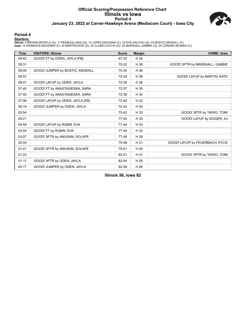#### **Official Scoring/Possession Reference Chart Illinois vs Iowa Period 4 January 23, 2022 at Carver-Hawkeye Arena (Mediacom Court) - Iowa City**



#### **Period 4**

#### **Starters:**

Illinois: 5 BROWN,DE'MYLA (G); 11 PEEBLES,JADA (G); 14 LOPES,GEOVANA (C); 32 NYE,AALIYAH (G); 44 BOSTIC,KENDALL (F);<br>Iowa: 14 WARNOCK,MCKENNA (F); 20 MARTIN,KATE (G); 22 CLARK,CAITLIN (G); 24 MARSHALL,GABBIE (G); 25 CZINAN

| <b>Time</b> | <b>VISITORS: Illinois</b>       | <b>Score</b> | <b>Margin</b> | <b>HOME: Iowa</b>               |
|-------------|---------------------------------|--------------|---------------|---------------------------------|
| 09:42       | GOOD! FT by ODEN, JAYLA [FB]    | 67-32        | H 35          |                                 |
| 09:31       |                                 | 70-32        | H 38          | GOOD! 3PTR by MARSHALL, GABBIE  |
| 09:09       | GOOD! JUMPER by BOSTIC, KENDALL | 70-34        | H 36          |                                 |
| 08:57       |                                 | 72-34        | H 38          | GOOD! LAYUP by MARTIN, KATE     |
| 08:47       | GOOD! LAYUP by ODEN, JAYLA      | 72-36        | H 36          |                                 |
| 07:40       | GOOD! FT by ANASTASIESKA, SARA  | 72-37        | H 35          |                                 |
| 07:40       | GOOD! FT by ANASTASIESKA, SARA  | 72-38        | H 34          |                                 |
| 07:06       | GOOD! LAYUP by ODEN, JAYLA [FB] | 72-40        | H 32          |                                 |
| 06:19       | GOOD! JUMPER by ODEN, JAYLA     | 72-42        | H 30          |                                 |
| 05:54       |                                 | 75-42        | H 33          | GOOD! 3PTR by TAIWO, TOMI       |
| 05:21       |                                 | $77-42$      | H 35          | GOOD! LAYUP by EDIGER, AJ       |
| 04:59       | GOOD! LAYUP by RUBIN, EVA       | $77 - 44$    | H 33          |                                 |
| 03:54       | GOOD! FT by RUBIN, EVA          | $77 - 45$    | H 32          |                                 |
| 03:07       | GOOD! 3PTR by AMUSAN, SOLAPE    | 77-48        | H 29          |                                 |
| 02:44       |                                 | 79-48        | H 31          | GOOD! LAYUP by FEUERBACH, KYLIE |
| 01:41       | GOOD! 3PTR by AMUSAN, SOLAPE    | 79-51        | H 28          |                                 |
| 01:23       |                                 | 82-51        | H 31          | GOOD! 3PTR by TAIWO, TOMI       |
| 01:11       | GOOD! 3PTR by ODEN, JAYLA       | 82-54        | H 28          |                                 |
| 00:17       | GOOD! JUMPER by ODEN, JAYLA     | 82-56        | H 26          |                                 |

**Illinois 56, Iowa 82**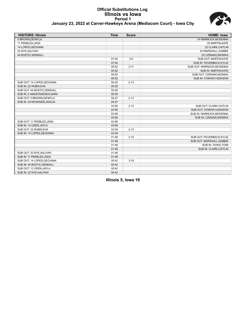#### **Official Substitutions Log Illinois vs Iowa Period 1 January 23, 2022 at Carver-Hawkeye Arena (Mediacom Court) - Iowa City**



| <b>VISITORS: Illinois</b>    | <b>Time</b> | <b>Score</b> | <b>HOME: Iowa</b>           |
|------------------------------|-------------|--------------|-----------------------------|
| 5 BROWN.DE'MYLA              |             |              | <b>14 WARNOCK.MCKENNA</b>   |
| 11 PEEBLES, JADA             |             |              | 20 MARTIN, KATE             |
| 14 LOPES, GEOVANA            |             |              | 22 CLARK, CAITLIN           |
| 32 NYE, AALIYAH              |             |              | 24 MARSHALL, GABBIE         |
| 44 BOSTIC, KENDALL           |             |              | 25 CZINANO, MONIKA          |
|                              | 07:04       | $2 - 6$      | <b>SUB OUT: MARTIN.KATE</b> |
|                              | 07:04       |              | SUB IN: FEUERBACH, KYLIE    |
|                              | 05:52       | $2 - 11$     | SUB OUT: WARNOCK, MCKENNA   |
|                              | 05:52       |              | SUB IN: MARTIN, KATE        |
|                              | 05:52       |              | SUB OUT: CZINANO, MONIKA    |
|                              | 05:52       |              | SUB IN: O'GRADY, ADDISON    |
| SUB OUT: 14 LOPES, GEOVANA   | 05:29       | $2 - 13$     |                             |
| SUB IN: 22 RUBIN.EVA         | 05:29       |              |                             |
| SUB OUT: 44 BOSTIC, KENDALL  | 05:29       |              |                             |
| SUB IN: 0 ANASTASIESKA, SARA | 05:29       |              |                             |
| SUB OUT: 5 BROWN, DE'MYLA    | 04:27       | $2 - 13$     |                             |
| SUB IN: 24 MCKENZIE, ADALIA  | 04:27       |              |                             |
|                              | 03:56       | $2 - 13$     | SUB OUT: CLARK, CAITLIN     |
|                              | 03:56       |              | SUB OUT: O'GRADY, ADDISON   |
|                              | 03:56       |              | SUB IN: WARNOCK, MCKENNA    |
|                              | 03:56       |              | SUB IN: CZINANO, MONIKA     |
| SUB OUT: 11 PEEBLES.JADA     | 03:56       |              |                             |
| SUB IN: 12 ODEN, JAYLA       | 03:56       |              |                             |
| SUB OUT: 22 RUBIN, EVA       | 03:39       | $2 - 13$     |                             |
| SUB IN: 14 LOPES, GEOVANA    | 03:39       |              |                             |
|                              | 01:48       | $2 - 15$     | SUB OUT: FEUERBACH, KYLIE   |
|                              | 01:48       |              | SUB OUT: MARSHALL, GABBIE   |
|                              | 01:48       |              | SUB IN: TAIWO, TOMI         |
|                              | 01:48       |              | SUB IN: CLARK, CAITLIN      |
| SUB OUT: 32 NYE, AALIYAH     | 01:48       |              |                             |
| SUB IN: 11 PEEBLES, JADA     | 01:48       |              |                             |
| SUB OUT: 14 LOPES, GEOVANA   | 00:42       | $3 - 19$     |                             |
| SUB IN: 44 BOSTIC, KENDALL   | 00:42       |              |                             |
| SUB OUT: 12 ODEN, JAYLA      | 00:42       |              |                             |
| SUB IN: 32 NYE, AALIYAH      | 00:42       |              |                             |

**Illinois 5, Iowa 19**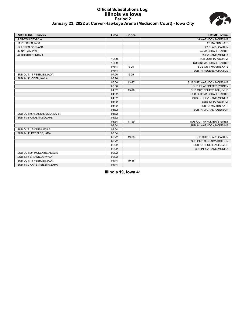## **Official Substitutions Log Illinois vs Iowa Period 2**



| January 23, 2022 at Carver-Hawkeye Arena (Mediacom Court) - Iowa City |
|-----------------------------------------------------------------------|
|-----------------------------------------------------------------------|

| <b>VISITORS: Illinois</b>     | <b>Time</b> | <b>Score</b>             | <b>HOME: Iowa</b>         |
|-------------------------------|-------------|--------------------------|---------------------------|
| 5 BROWN, DE'MYLA              |             |                          | 14 WARNOCK, MCKENNA       |
| 11 PEEBLES, JADA              |             |                          | 20 MARTIN, KATE           |
| 14 LOPES, GEOVANA             |             |                          | 22 CLARK, CAITLIN         |
| 32 NYE, AALIYAH               |             |                          | 24 MARSHALL, GABBIE       |
| 44 BOSTIC, KENDALL            |             |                          | 25 CZINANO, MONIKA        |
|                               | 10:00       | $\overline{\phantom{a}}$ | SUB OUT: TAIWO, TOMI      |
|                               | 10:00       |                          | SUB IN: MARSHALL, GABBIE  |
|                               | 07:44       | $9 - 25$                 | SUB OUT: MARTIN, KATE     |
|                               | 07:44       |                          | SUB IN: FEUERBACH, KYLIE  |
| SUB OUT: 11 PEEBLES, JADA     | 07:26       | $9 - 25$                 |                           |
| SUB IN: 12 ODEN, JAYLA        | 07:26       |                          |                           |
|                               | 06:00       | $13 - 27$                | SUB OUT: WARNOCK, MCKENNA |
|                               | 06:00       |                          | SUB IN: AFFOLTER, SYDNEY  |
|                               | 04:32       | 15-29                    | SUB OUT: FEUERBACH, KYLIE |
|                               | 04:32       |                          | SUB OUT: MARSHALL, GABBIE |
|                               | 04:32       |                          | SUB OUT: CZINANO, MONIKA  |
|                               | 04:32       |                          | SUB IN: TAIWO, TOMI       |
|                               | 04:32       |                          | SUB IN: MARTIN, KATE      |
|                               | 04:32       |                          | SUB IN: O'GRADY, ADDISON  |
| SUB OUT: 0 ANASTASIESKA, SARA | 04:32       |                          |                           |
| SUB IN: 3 AMUSAN, SOLAPE      | 04:32       |                          |                           |
|                               | 03:54       | 17-29                    | SUB OUT: AFFOLTER, SYDNEY |
|                               | 03:54       |                          | SUB IN: WARNOCK.MCKENNA   |
| SUB OUT: 12 ODEN, JAYLA       | 03:54       |                          |                           |
| SUB IN: 11 PEEBLES, JADA      | 03:54       |                          |                           |
|                               | 02:22       | 19-36                    | SUB OUT: CLARK, CAITLIN   |
|                               | 02:22       |                          | SUB OUT: O'GRADY, ADDISON |
|                               | 02:22       |                          | SUB IN: FEUERBACH, KYLIE  |
|                               | 02:22       |                          | SUB IN: CZINANO, MONIKA   |
| SUB OUT: 24 MCKENZIE, ADALIA  | 02:22       |                          |                           |
| SUB IN: 5 BROWN, DE'MYLA      | 02:22       |                          |                           |
| SUB OUT: 11 PEEBLES, JADA     | 01:44       | 19-38                    |                           |
| SUB IN: 0 ANASTASIESKA, SARA  | 01:44       |                          |                           |

**Illinois 19, Iowa 41**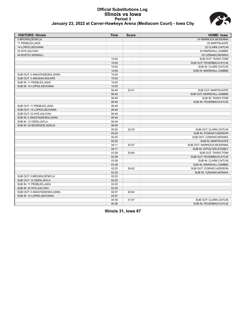#### **Official Substitutions Log Illinois vs Iowa Period 3 January 23, 2022 at Carver-Hawkeye Arena (Mediacom Court) - Iowa City**



| <b>VISITORS: Illinois</b>     | <b>Time</b> | <b>Score</b>             | <b>HOME: Iowa</b>           |
|-------------------------------|-------------|--------------------------|-----------------------------|
| 5 BROWN, DE'MYLA              |             |                          | 14 WARNOCK, MCKENNA         |
| 11 PEEBLES, JADA              |             |                          | 20 MARTIN, KATE             |
| 14 LOPES, GEOVANA             |             |                          | 22 CLARK, CAITLIN           |
| 32 NYE, AALIYAH               |             |                          | 24 MARSHALL, GABBIE         |
| 44 BOSTIC, KENDALL            |             |                          | 25 CZINANO, MONIKA          |
|                               | 10:00       | $\overline{\phantom{a}}$ | SUB OUT: TAIWO, TOMI        |
|                               | 10:00       |                          | SUB OUT: FEUERBACH, KYLIE   |
|                               | 10:00       |                          | SUB IN: CLARK, CAITLIN      |
|                               | 10:00       |                          | SUB IN: MARSHALL, GABBIE    |
| SUB OUT: 0 ANASTASIESKA, SARA | 10:00       |                          |                             |
| SUB OUT: 3 AMUSAN, SOLAPE     | 10:00       |                          |                             |
| SUB IN: 11 PEEBLES, JADA      | 10:00       |                          |                             |
| SUB IN: 14 LOPES, GEOVANA     | 10:00       |                          |                             |
|                               | 06:49       | $22 - 51$                | SUB OUT: MARTIN, KATE       |
|                               | 06:49       |                          | SUB OUT: MARSHALL, GABBIE   |
|                               | 06:49       |                          | SUB IN: TAIWO, TOMI         |
|                               | 06:49       |                          | SUB IN: FEUERBACH, KYLIE    |
| SUB OUT: 11 PEEBLES, JADA     | 06:49       |                          |                             |
| SUB OUT: 14 LOPES, GEOVANA    | 06:49       |                          |                             |
| SUB OUT: 32 NYE, AALIYAH      | 06:49       |                          |                             |
| SUB IN: 0 ANASTASIESKA, SARA  | 06:49       |                          |                             |
| SUB IN: 12 ODEN.JAYLA         | 06:49       |                          |                             |
| SUB IN: 24 MCKENZIE, ADALIA   | 06:49       |                          |                             |
|                               | 05:25       | 22-53                    | SUB OUT: CLARK, CAITLIN     |
|                               | 05:25       |                          | SUB IN: O'GRADY, ADDISON    |
|                               | 05:25       |                          | SUB OUT: CZINANO, MONIKA    |
|                               | 05:25       |                          | <b>SUB IN: MARTIN, KATE</b> |
|                               | 04:11       | 25-57                    | SUB OUT: WARNOCK, MCKENNA   |
|                               | 04:11       |                          | SUB IN: AFFOLTER, SYDNEY    |
|                               | 03:38       | 25-60                    | SUB OUT: TAIWO, TOMI        |
|                               | 03:38       |                          | SUB OUT: FEUERBACH, KYLIE   |
|                               | 03:38       |                          | SUB IN: CLARK, CAITLIN      |
|                               | 03:38       |                          | SUB IN: MARSHALL, GABBIE    |
|                               | 02:25       | 26-62                    | SUB OUT: O'GRADY, ADDISON   |
|                               | 02:25       |                          | SUB IN: CZINANO, MONIKA     |
| SUB OUT: 5 BROWN.DE'MYLA      | 02:25       |                          |                             |
| SUB OUT: 12 ODEN, JAYLA       | 02:25       |                          |                             |
| SUB IN: 11 PEEBLES, JADA      | 02:25       |                          |                             |
| SUB IN: 32 NYE, AALIYAH       | 02:25       |                          |                             |
| SUB OUT: 0 ANASTASIESKA, SARA | 02:07       | 26-64                    |                             |
| SUB IN: 14 LOPES, GEOVANA     | 02:07       |                          |                             |
|                               | 00:36       | 31-67                    | SUB OUT: CLARK, CAITLIN     |
|                               | 00:36       |                          | SUB IN: FEUERBACH, KYLIE    |

**Illinois 31, Iowa 67**